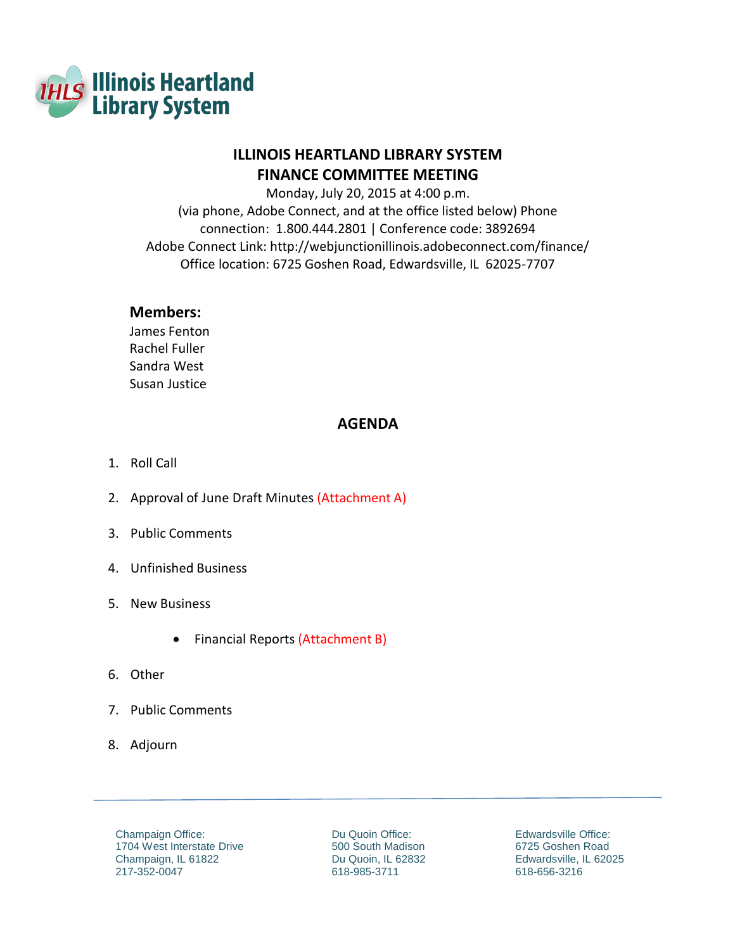

# **ILLINOIS HEARTLAND LIBRARY SYSTEM FINANCE COMMITTEE MEETING**

Monday, July 20, 2015 at 4:00 p.m.

(via phone, Adobe Connect, and at the office listed below) Phone connection: 1.800.444.2801 | Conference code: 3892694 Adobe Connect Link: <http://webjunctionillinois.adobeconnect.com/finance/> Office location: 6725 Goshen Road, Edwardsville, IL 62025-7707

## **Members:**

James Fenton Rachel Fuller Sandra West Susan Justice

# **AGENDA**

- 1. Roll Call
- 2. Approval of June Draft Minutes (Attachment A)
- 3. Public Comments
- 4. Unfinished Business
- 5. New Business
	- Financial Reports (Attachment B)
- 6. Other
- 7. Public Comments
- 8. Adjourn

Champaign Office: 1704 West Interstate Drive Champaign, IL 61822 217-352-0047

Du Quoin Office: 500 South Madison Du Quoin, IL 62832 618-985-3711

Edwardsville Office: 6725 Goshen Road Edwardsville, IL 62025 618-656-3216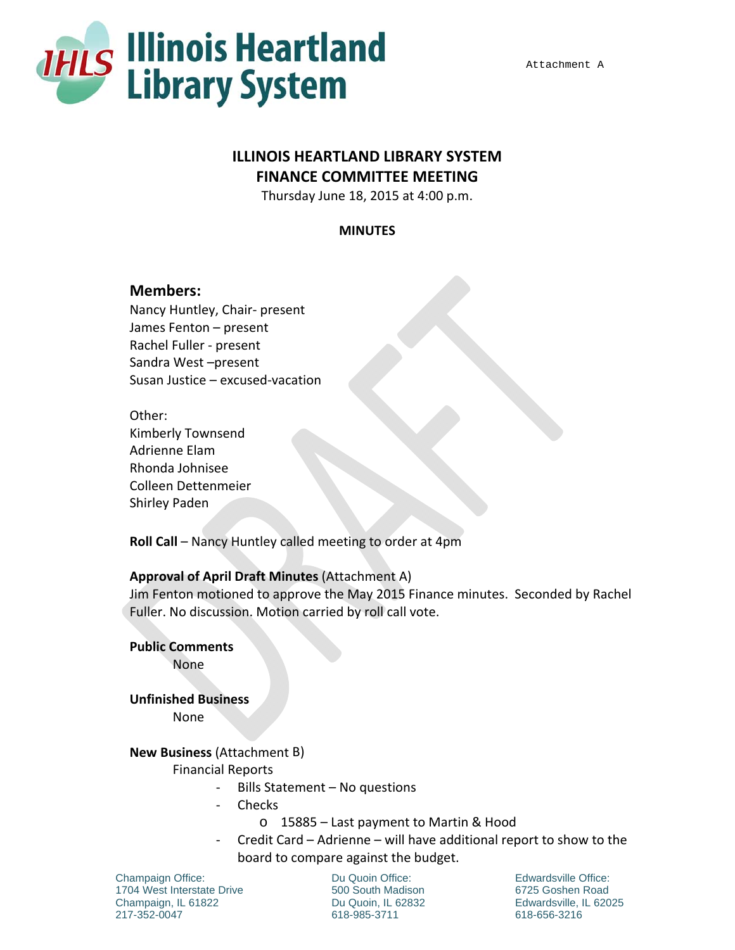

## Attachment A

# **ILLINOIS HEARTLAND LIBRARY SYSTEM FINANCE COMMITTEE MEETING**

Thursday June 18, 2015 at 4:00 p.m.

## **MINUTES**

## **Members:**

Nancy Huntley, Chair‐ present James Fenton – present Rachel Fuller ‐ present Sandra West –present Susan Justice – excused‐vacation

Other: Kimberly Townsend Adrienne Elam Rhonda Johnisee Colleen Dettenmeier Shirley Paden

**Roll Call** – Nancy Huntley called meeting to order at 4pm

## **Approval of April Draft Minutes** (Attachment A)

Jim Fenton motioned to approve the May 2015 Finance minutes. Seconded by Rachel Fuller. No discussion. Motion carried by roll call vote.

**Public Comments**

None

**Unfinished Business** None

## **New Business** (Attachment B)

Financial Reports

- ‐ Bills Statement No questions
- ‐ Checks
	- o 15885 Last payment to Martin & Hood
- ‐ Credit Card Adrienne will have additional report to show to the board to compare against the budget.

Champaign Office: 1704 West Interstate Drive Champaign, IL 61822 217-352-0047

Du Quoin Office: 500 South Madison Du Quoin, IL 62832 618-985-3711

Edwardsville Office: 6725 Goshen Road Edwardsville, IL 62025 618-656-3216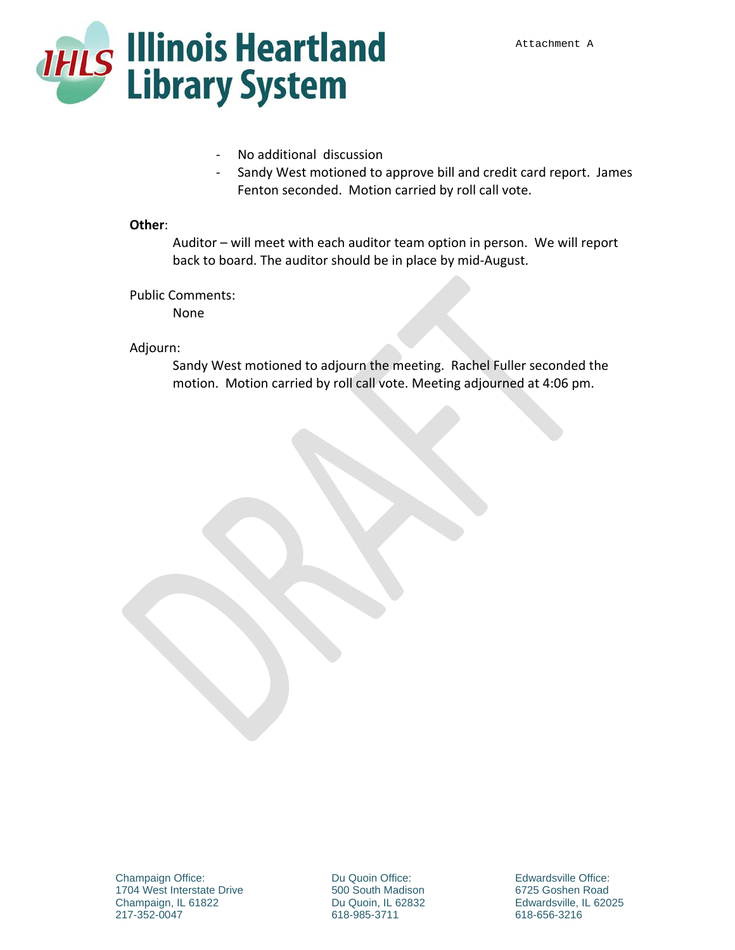

- ‐ No additional discussion
- Sandy West motioned to approve bill and credit card report. James Fenton seconded. Motion carried by roll call vote.

## **Other**:

Auditor – will meet with each auditor team option in person. We will report back to board. The auditor should be in place by mid‐August.

Public Comments:

None

## Adjourn:

Sandy West motioned to adjourn the meeting. Rachel Fuller seconded the motion. Motion carried by roll call vote. Meeting adjourned at 4:06 pm.

Du Quoin Office: 500 South Madison Du Quoin, IL 62832 618-985-3711

Edwardsville Office: 6725 Goshen Road Edwardsville, IL 62025 618-656-3216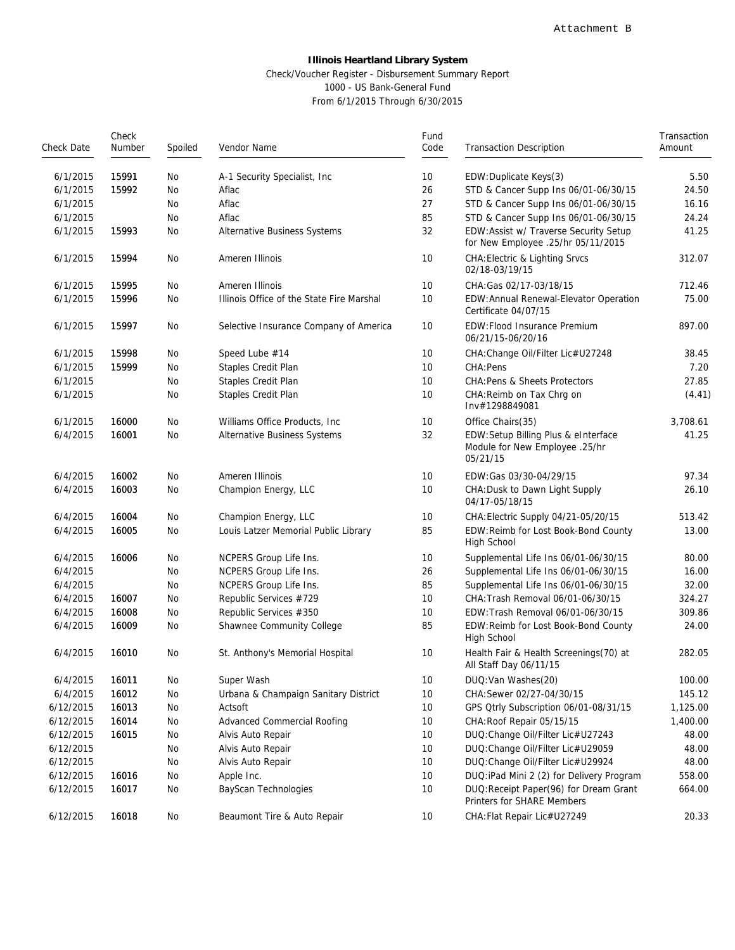### **Illinois Heartland Library System** Check/Voucher Register - Disbursement Summary Report 1000 - US Bank-General Fund From 6/1/2015 Through 6/30/2015

| Check Date | Check<br>Fund<br>Code<br>Number<br>Spoiled<br>Vendor Name |    | <b>Transaction Description</b>            | Transaction<br>Amount |                                                                                   |          |
|------------|-----------------------------------------------------------|----|-------------------------------------------|-----------------------|-----------------------------------------------------------------------------------|----------|
|            |                                                           |    |                                           |                       |                                                                                   |          |
| 6/1/2015   | 15991                                                     | No | A-1 Security Specialist, Inc.             | 10                    | EDW: Duplicate Keys(3)                                                            | 5.50     |
| 6/1/2015   | 15992                                                     | No | Aflac                                     | 26                    | STD & Cancer Supp Ins 06/01-06/30/15                                              | 24.50    |
| 6/1/2015   |                                                           | No | Aflac                                     | 27                    | STD & Cancer Supp Ins 06/01-06/30/15                                              | 16.16    |
| 6/1/2015   |                                                           | No | Aflac                                     | 85                    | STD & Cancer Supp Ins 06/01-06/30/15                                              | 24.24    |
| 6/1/2015   | 15993                                                     | No | Alternative Business Systems              | 32                    | EDW: Assist w/ Traverse Security Setup<br>for New Employee .25/hr 05/11/2015      | 41.25    |
| 6/1/2015   | 15994                                                     | No | Ameren Illinois                           | 10                    | <b>CHA: Electric &amp; Lighting Srvcs</b><br>02/18-03/19/15                       | 312.07   |
| 6/1/2015   | 15995                                                     | No | Ameren Illinois                           | 10                    | CHA: Gas 02/17-03/18/15                                                           | 712.46   |
| 6/1/2015   | 15996                                                     | No | Illinois Office of the State Fire Marshal | 10                    | EDW: Annual Renewal-Elevator Operation<br>Certificate 04/07/15                    | 75.00    |
| 6/1/2015   | 15997                                                     | No | Selective Insurance Company of America    | 10                    | EDW: Flood Insurance Premium<br>06/21/15-06/20/16                                 | 897.00   |
| 6/1/2015   | 15998                                                     | No | Speed Lube #14                            | 10                    | CHA: Change Oil/Filter Lic#U27248                                                 | 38.45    |
| 6/1/2015   | 15999                                                     | No | Staples Credit Plan                       | 10                    | CHA: Pens                                                                         | 7.20     |
| 6/1/2015   |                                                           | No | Staples Credit Plan                       | 10                    | CHA: Pens & Sheets Protectors                                                     | 27.85    |
| 6/1/2015   |                                                           | No | Staples Credit Plan                       | 10                    | CHA: Reimb on Tax Chrq on<br>Inv#1298849081                                       | (4.41)   |
| 6/1/2015   | 16000                                                     | No | Williams Office Products, Inc.            | 10                    | Office Chairs(35)                                                                 | 3,708.61 |
| 6/4/2015   | 16001                                                     | No | Alternative Business Systems              | 32                    | EDW:Setup Billing Plus & eInterface<br>Module for New Employee .25/hr<br>05/21/15 | 41.25    |
| 6/4/2015   | 16002                                                     | No | Ameren Illinois                           | 10                    | EDW: Gas 03/30-04/29/15                                                           | 97.34    |
| 6/4/2015   | 16003                                                     | No | Champion Energy, LLC                      | 10                    | CHA: Dusk to Dawn Light Supply<br>04/17-05/18/15                                  | 26.10    |
| 6/4/2015   | 16004                                                     | No | Champion Energy, LLC                      | 10                    | CHA: Electric Supply 04/21-05/20/15                                               | 513.42   |
| 6/4/2015   | 16005                                                     | No | Louis Latzer Memorial Public Library      | 85                    | EDW:Reimb for Lost Book-Bond County<br>High School                                | 13.00    |
| 6/4/2015   | 16006                                                     | No | NCPERS Group Life Ins.                    | 10                    | Supplemental Life Ins 06/01-06/30/15                                              | 80.00    |
| 6/4/2015   |                                                           | No | NCPERS Group Life Ins.                    | 26                    | Supplemental Life Ins 06/01-06/30/15                                              | 16.00    |
| 6/4/2015   |                                                           | No | NCPERS Group Life Ins.                    | 85                    | Supplemental Life Ins 06/01-06/30/15                                              | 32.00    |
| 6/4/2015   | 16007                                                     | No | Republic Services #729                    | 10                    | CHA: Trash Removal 06/01-06/30/15                                                 | 324.27   |
| 6/4/2015   | 16008                                                     | No | Republic Services #350                    | 10                    | EDW: Trash Removal 06/01-06/30/15                                                 | 309.86   |
| 6/4/2015   | 16009                                                     | No | Shawnee Community College                 | 85                    | EDW: Reimb for Lost Book-Bond County<br>High School                               | 24.00    |
| 6/4/2015   | 16010                                                     | No | St. Anthony's Memorial Hospital           | 10                    | Health Fair & Health Screenings(70) at<br>All Staff Day 06/11/15                  | 282.05   |
| 6/4/2015   | 16011                                                     | No | Super Wash                                | 10                    | DUQ: Van Washes (20)                                                              | 100.00   |
| 6/4/2015   | 16012                                                     | No | Urbana & Champaign Sanitary District      | 10                    | CHA: Sewer 02/27-04/30/15                                                         | 145.12   |
| 6/12/2015  | 16013                                                     | No | Actsoft                                   | 10                    | GPS Otrly Subscription 06/01-08/31/15                                             | 1,125.00 |
| 6/12/2015  | 16014                                                     | No | Advanced Commercial Roofing               | 10                    | CHA: Roof Repair 05/15/15                                                         | 1,400.00 |
| 6/12/2015  | 16015                                                     | No | Alvis Auto Repair                         | 10                    | DUQ: Change Oil/Filter Lic#U27243                                                 | 48.00    |
| 6/12/2015  |                                                           | No | Alvis Auto Repair                         | 10                    | DUQ: Change Oil/Filter Lic#U29059                                                 | 48.00    |
| 6/12/2015  |                                                           | No | Alvis Auto Repair                         | 10                    | DUQ: Change Oil/Filter Lic#U29924                                                 | 48.00    |
| 6/12/2015  | 16016                                                     | No | Apple Inc.                                | 10                    | DUQ: iPad Mini 2 (2) for Delivery Program                                         | 558.00   |
| 6/12/2015  | 16017                                                     | No | BayScan Technologies                      | 10                    | DUQ: Receipt Paper(96) for Dream Grant<br>Printers for SHARE Members              | 664.00   |
| 6/12/2015  | 16018                                                     | No | Beaumont Tire & Auto Repair               | 10                    | CHA: Flat Repair Lic#U27249                                                       | 20.33    |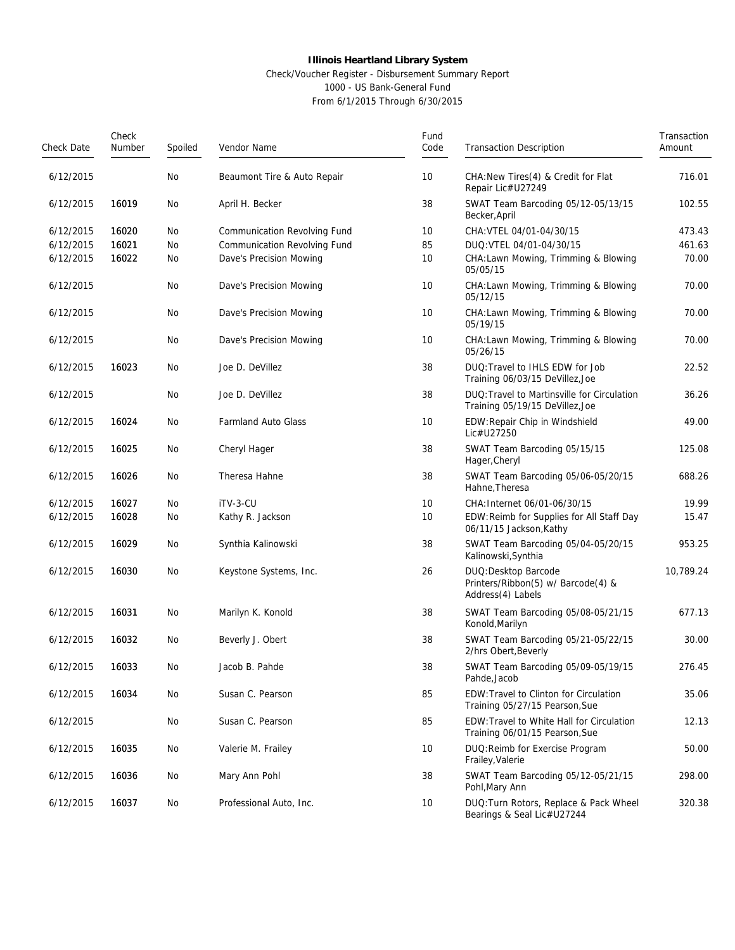## Check/Voucher Register - Disbursement Summary Report 1000 - US Bank-General Fund

| Check Date | Check<br>Number | Spoiled | Vendor Name                  | Fund<br>Code | <b>Transaction Description</b>                                                  | Transaction<br>Amount |  |
|------------|-----------------|---------|------------------------------|--------------|---------------------------------------------------------------------------------|-----------------------|--|
| 6/12/2015  |                 | No      | Beaumont Tire & Auto Repair  | 10           | CHA: New Tires (4) & Credit for Flat<br>Repair Lic#U27249                       | 716.01                |  |
| 6/12/2015  | 16019           | No      | April H. Becker              | 38           | SWAT Team Barcoding 05/12-05/13/15<br>Becker, April                             | 102.55                |  |
| 6/12/2015  | 16020           | No      | Communication Revolving Fund | 10           | CHA: VTEL 04/01-04/30/15                                                        | 473.43                |  |
| 6/12/2015  | 16021           | No      | Communication Revolving Fund | 85           | DUQ: VTEL 04/01-04/30/15                                                        | 461.63                |  |
| 6/12/2015  | 16022           | No      | Dave's Precision Mowing      | 10           | CHA: Lawn Mowing, Trimming & Blowing<br>05/05/15                                | 70.00                 |  |
| 6/12/2015  |                 | No      | Dave's Precision Mowing      | 10           | CHA: Lawn Mowing, Trimming & Blowing<br>05/12/15                                | 70.00                 |  |
| 6/12/2015  |                 | No      | Dave's Precision Mowing      | 10           | CHA: Lawn Mowing, Trimming & Blowing<br>05/19/15                                | 70.00                 |  |
| 6/12/2015  |                 | No      | Dave's Precision Mowing      | 10           | CHA: Lawn Mowing, Trimming & Blowing<br>05/26/15                                | 70.00                 |  |
| 6/12/2015  | 16023           | No      | Joe D. DeVillez              | 38           | DUQ: Travel to IHLS EDW for Job<br>Training 06/03/15 DeVillez, Joe              | 22.52                 |  |
| 6/12/2015  |                 | No      | Joe D. DeVillez              | 38           | DUQ: Travel to Martinsville for Circulation<br>Training 05/19/15 DeVillez, Joe  | 36.26                 |  |
| 6/12/2015  | 16024           | No      | <b>Farmland Auto Glass</b>   | 10           | EDW: Repair Chip in Windshield<br>Lic#U27250                                    | 49.00                 |  |
| 6/12/2015  | 16025           | No      | Cheryl Hager                 | 38           | SWAT Team Barcoding 05/15/15<br>Hager, Cheryl                                   | 125.08                |  |
| 6/12/2015  | 16026           | No      | Theresa Hahne                | 38           | SWAT Team Barcoding 05/06-05/20/15<br>Hahne, Theresa                            | 688.26                |  |
| 6/12/2015  | 16027           | No      | iTV-3-CU                     | 10           | CHA: Internet 06/01-06/30/15                                                    | 19.99                 |  |
| 6/12/2015  | 16028           | No      | Kathy R. Jackson             | 10           | EDW: Reimb for Supplies for All Staff Day<br>06/11/15 Jackson, Kathy            | 15.47                 |  |
| 6/12/2015  | 16029           | No      | Synthia Kalinowski           | 38           | SWAT Team Barcoding 05/04-05/20/15<br>Kalinowski, Synthia                       | 953.25                |  |
| 6/12/2015  | 16030           | No      | Keystone Systems, Inc.       | 26           | DUQ: Desktop Barcode<br>Printers/Ribbon(5) w/ Barcode(4) &<br>Address(4) Labels | 10,789.24             |  |
| 6/12/2015  | 16031           | No      | Marilyn K. Konold            | 38           | SWAT Team Barcoding 05/08-05/21/15<br>Konold, Marilyn                           | 677.13                |  |
| 6/12/2015  | 16032           | No      | Beverly J. Obert             | 38           | SWAT Team Barcoding 05/21-05/22/15<br>2/hrs Obert, Beverly                      | 30.00                 |  |
| 6/12/2015  | 16033           | No      | Jacob B. Pahde               | 38           | SWAT Team Barcoding 05/09-05/19/15<br>Pahde, Jacob                              | 276.45                |  |
| 6/12/2015  | 16034           | No      | Susan C. Pearson             | 85           | EDW: Travel to Clinton for Circulation<br>Training 05/27/15 Pearson, Sue        | 35.06                 |  |
| 6/12/2015  |                 | No      | Susan C. Pearson             | 85           | EDW: Travel to White Hall for Circulation<br>Training 06/01/15 Pearson, Sue     | 12.13                 |  |
| 6/12/2015  | 16035           | No      | Valerie M. Frailey           | 10           | DUQ: Reimb for Exercise Program<br>Frailey, Valerie                             | 50.00                 |  |
| 6/12/2015  | 16036           | No      | Mary Ann Pohl                | 38           | SWAT Team Barcoding 05/12-05/21/15<br>Pohl, Mary Ann                            | 298.00                |  |
| 6/12/2015  | 16037           | No      | Professional Auto, Inc.      | 10           | DUQ: Turn Rotors, Replace & Pack Wheel<br>Bearings & Seal Lic#U27244            | 320.38                |  |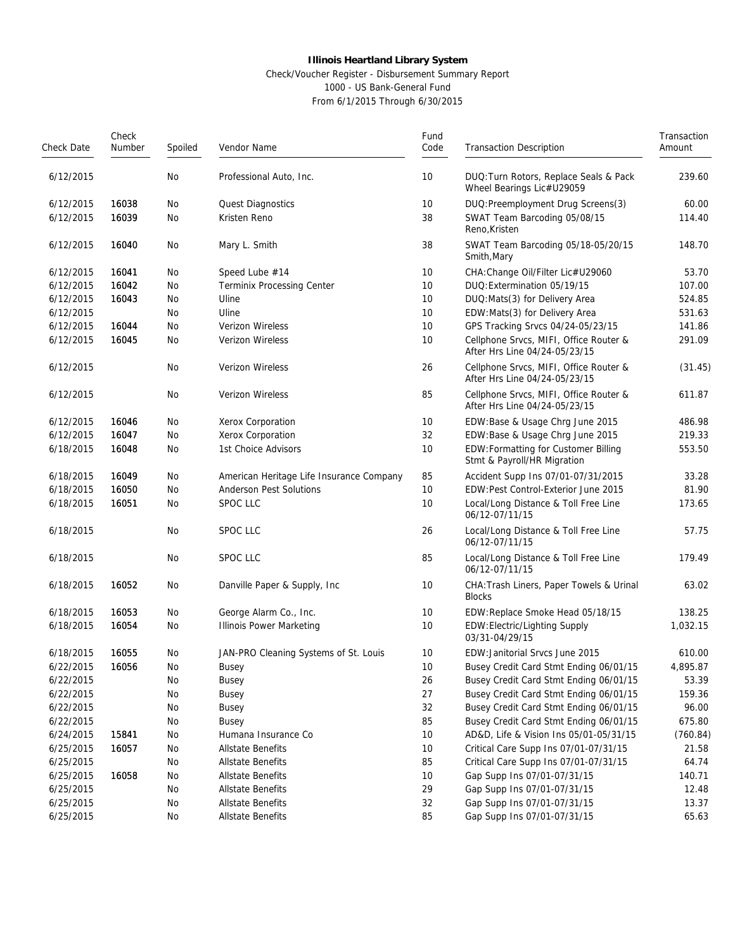### Check/Voucher Register - Disbursement Summary Report 1000 - US Bank-General Fund

| Check Date | Check<br>Number | Spoiled<br>Vendor Name |                                          | Fund<br>Code | <b>Transaction Description</b>                                          | Transaction<br>Amount |  |
|------------|-----------------|------------------------|------------------------------------------|--------------|-------------------------------------------------------------------------|-----------------------|--|
| 6/12/2015  |                 | No                     | Professional Auto, Inc.                  | 10           | DUQ: Turn Rotors, Replace Seals & Pack<br>Wheel Bearings Lic#U29059     | 239.60                |  |
| 6/12/2015  | 16038           | No                     | Quest Diagnostics                        | 10           | DUQ: Preemployment Drug Screens(3)                                      | 60.00                 |  |
| 6/12/2015  | 16039           | No                     | Kristen Reno                             | 38           | SWAT Team Barcoding 05/08/15<br>Reno, Kristen                           | 114.40                |  |
| 6/12/2015  | 16040           | No                     | Mary L. Smith                            | 38           | SWAT Team Barcoding 05/18-05/20/15<br>Smith, Mary                       | 148.70                |  |
| 6/12/2015  | 16041           | No                     | Speed Lube #14                           | 10           | CHA: Change Oil/Filter Lic#U29060                                       | 53.70                 |  |
| 6/12/2015  | 16042           | No                     | <b>Terminix Processing Center</b>        | 10           | DUQ: Extermination 05/19/15                                             | 107.00                |  |
| 6/12/2015  | 16043           | No                     | Uline                                    | 10           | DUQ:Mats(3) for Delivery Area                                           | 524.85                |  |
| 6/12/2015  |                 | No                     | Uline                                    | 10           | EDW: Mats(3) for Delivery Area                                          | 531.63                |  |
| 6/12/2015  | 16044           | No                     | Verizon Wireless                         | 10           | GPS Tracking Srvcs 04/24-05/23/15                                       | 141.86                |  |
| 6/12/2015  | 16045           | No                     | Verizon Wireless                         | 10           | Cellphone Srvcs, MIFI, Office Router &<br>After Hrs Line 04/24-05/23/15 | 291.09                |  |
| 6/12/2015  |                 | No                     | Verizon Wireless                         | 26           | Cellphone Srvcs, MIFI, Office Router &<br>After Hrs Line 04/24-05/23/15 | (31.45)               |  |
| 6/12/2015  |                 | No                     | Verizon Wireless                         | 85           | Cellphone Srvcs, MIFI, Office Router &<br>After Hrs Line 04/24-05/23/15 | 611.87                |  |
| 6/12/2015  | 16046           | No                     | Xerox Corporation                        | 10           | EDW:Base & Usage Chrg June 2015                                         | 486.98                |  |
| 6/12/2015  | 16047           | No                     | Xerox Corporation                        | 32           | EDW:Base & Usage Chrg June 2015                                         | 219.33                |  |
| 6/18/2015  | 16048           | No                     | 1st Choice Advisors                      | 10           | EDW: Formatting for Customer Billing<br>Stmt & Payroll/HR Migration     | 553.50                |  |
| 6/18/2015  | 16049           | No                     | American Heritage Life Insurance Company | 85           | Accident Supp Ins 07/01-07/31/2015                                      | 33.28                 |  |
| 6/18/2015  | 16050           | No                     | <b>Anderson Pest Solutions</b>           | 10           | EDW:Pest Control-Exterior June 2015                                     | 81.90                 |  |
| 6/18/2015  | 16051           | No                     | SPOC LLC                                 | 10           | Local/Long Distance & Toll Free Line<br>06/12-07/11/15                  | 173.65                |  |
| 6/18/2015  |                 | No                     | SPOC LLC                                 | 26           | Local/Long Distance & Toll Free Line<br>06/12-07/11/15                  | 57.75                 |  |
| 6/18/2015  |                 | No                     | SPOC LLC                                 | 85           | Local/Long Distance & Toll Free Line<br>06/12-07/11/15                  | 179.49                |  |
| 6/18/2015  | 16052           | No                     | Danville Paper & Supply, Inc             | 10           | CHA: Trash Liners, Paper Towels & Urinal<br><b>Blocks</b>               | 63.02                 |  |
| 6/18/2015  | 16053           | No                     | George Alarm Co., Inc.                   | 10           | EDW:Replace Smoke Head 05/18/15                                         | 138.25                |  |
| 6/18/2015  | 16054           | No                     | <b>Illinois Power Marketing</b>          | 10           | EDW: Electric/Lighting Supply<br>03/31-04/29/15                         | 1,032.15              |  |
| 6/18/2015  | 16055           | No                     | JAN-PRO Cleaning Systems of St. Louis    | 10           | EDW: Janitorial Srvcs June 2015                                         | 610.00                |  |
| 6/22/2015  | 16056           | No                     | <b>Busey</b>                             | 10           | Busey Credit Card Stmt Ending 06/01/15                                  | 4,895.87              |  |
| 6/22/2015  |                 | No                     | Busey                                    | 26           | Busey Credit Card Stmt Ending 06/01/15                                  | 53.39                 |  |
| 6/22/2015  |                 | No                     | <b>Busey</b>                             | 27           | Busey Credit Card Stmt Ending 06/01/15                                  | 159.36                |  |
| 6/22/2015  |                 | No                     | <b>Busey</b>                             | 32           | Busey Credit Card Stmt Ending 06/01/15                                  | 96.00                 |  |
| 6/22/2015  |                 | No                     | <b>Busey</b>                             | 85           | Busey Credit Card Stmt Ending 06/01/15                                  | 675.80                |  |
| 6/24/2015  | 15841           | No                     | Humana Insurance Co                      | 10           | AD&D, Life & Vision Ins 05/01-05/31/15                                  | (760.84)              |  |
| 6/25/2015  | 16057           | No                     | <b>Allstate Benefits</b>                 | 10           | Critical Care Supp Ins 07/01-07/31/15                                   | 21.58                 |  |
| 6/25/2015  |                 | No                     | Allstate Benefits                        | 85           | Critical Care Supp Ins 07/01-07/31/15                                   | 64.74                 |  |
| 6/25/2015  | 16058           | No                     | Allstate Benefits                        | 10           | Gap Supp Ins 07/01-07/31/15                                             | 140.71                |  |
| 6/25/2015  |                 | No                     | <b>Allstate Benefits</b>                 | 29           | Gap Supp Ins 07/01-07/31/15                                             | 12.48                 |  |
| 6/25/2015  |                 | No                     | <b>Allstate Benefits</b>                 | 32           | Gap Supp Ins 07/01-07/31/15                                             | 13.37                 |  |
| 6/25/2015  |                 | No                     | Allstate Benefits                        | 85           | Gap Supp Ins 07/01-07/31/15                                             | 65.63                 |  |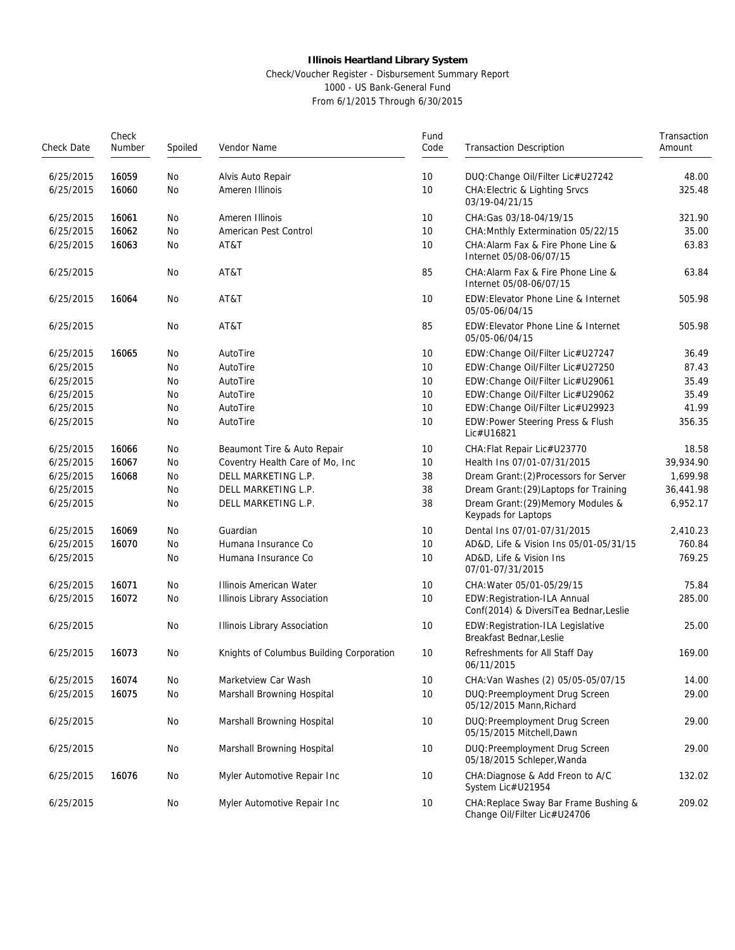#### Check/Voucher Register - Disbursement Summary Report 1000 - US Bank-General Fund

| Check Date | Check<br>Number<br>Spoiled<br>Vendor Name |    | Fund<br>Code                             | <b>Transaction Description</b> | Transaction<br>Amount                                                  |           |
|------------|-------------------------------------------|----|------------------------------------------|--------------------------------|------------------------------------------------------------------------|-----------|
|            |                                           |    |                                          |                                |                                                                        |           |
| 6/25/2015  | 16059                                     | No | Alvis Auto Repair                        | 10                             | DUQ: Change Oil/Filter Lic#U27242                                      | 48.00     |
| 6/25/2015  | 16060                                     | No | Ameren Illinois                          | 10                             | <b>CHA: Electric &amp; Lighting Srvcs</b><br>03/19-04/21/15            | 325.48    |
| 6/25/2015  | 16061                                     | No | Ameren Illinois                          | 10                             | CHA: Gas 03/18-04/19/15                                                | 321.90    |
| 6/25/2015  | 16062                                     | No | American Pest Control                    | 10                             | CHA: Mnthly Extermination 05/22/15                                     | 35.00     |
| 6/25/2015  | 16063                                     | No | AT&T                                     | 10                             | CHA: Alarm Fax & Fire Phone Line &<br>Internet 05/08-06/07/15          | 63.83     |
| 6/25/2015  |                                           | No | AT&T                                     | 85                             | CHA: Alarm Fax & Fire Phone Line &<br>Internet 05/08-06/07/15          | 63.84     |
| 6/25/2015  | 16064                                     | No | AT&T                                     | 10                             | EDW: Elevator Phone Line & Internet<br>05/05-06/04/15                  | 505.98    |
| 6/25/2015  |                                           | No | AT&T                                     | 85                             | EDW: Elevator Phone Line & Internet<br>05/05-06/04/15                  | 505.98    |
| 6/25/2015  | 16065                                     | No | AutoTire                                 | 10                             | EDW:Change Oil/Filter Lic#U27247                                       | 36.49     |
| 6/25/2015  |                                           | No | AutoTire                                 | 10                             | EDW:Change Oil/Filter Lic#U27250                                       | 87.43     |
| 6/25/2015  |                                           | No | AutoTire                                 | 10                             | EDW:Change Oil/Filter Lic#U29061                                       | 35.49     |
| 6/25/2015  |                                           | No | AutoTire                                 | 10                             | EDW:Change Oil/Filter Lic#U29062                                       | 35.49     |
| 6/25/2015  |                                           | No | AutoTire                                 | 10                             | EDW:Change Oil/Filter Lic#U29923                                       | 41.99     |
| 6/25/2015  |                                           | No | AutoTire                                 | 10                             | EDW: Power Steering Press & Flush<br>Lic#U16821                        | 356.35    |
| 6/25/2015  | 16066                                     | No | Beaumont Tire & Auto Repair              | 10                             | CHA: Flat Repair Lic#U23770                                            | 18.58     |
| 6/25/2015  | 16067                                     | No | Coventry Health Care of Mo, Inc          | 10                             | Health Ins 07/01-07/31/2015                                            | 39,934.90 |
| 6/25/2015  | 16068                                     | No | DELL MARKETING L.P.                      | 38                             | Dream Grant: (2) Processors for Server                                 | 1,699.98  |
| 6/25/2015  |                                           | No | DELL MARKETING L.P.                      | 38                             | Dream Grant: (29) Laptops for Training                                 | 36,441.98 |
| 6/25/2015  |                                           | No | DELL MARKETING L.P.                      | 38                             | Dream Grant: (29) Memory Modules &<br>Keypads for Laptops              | 6,952.17  |
| 6/25/2015  | 16069                                     | No | Guardian                                 | 10                             | Dental Ins 07/01-07/31/2015                                            | 2,410.23  |
| 6/25/2015  | 16070                                     | No | Humana Insurance Co                      | 10                             | AD&D, Life & Vision Ins 05/01-05/31/15                                 | 760.84    |
| 6/25/2015  |                                           | No | Humana Insurance Co                      | 10                             | AD&D, Life & Vision Ins<br>07/01-07/31/2015                            | 769.25    |
| 6/25/2015  | 16071                                     | No | Illinois American Water                  | 10                             | CHA: Water 05/01-05/29/15                                              | 75.84     |
| 6/25/2015  | 16072                                     | No | Illinois Library Association             | 10                             | EDW: Registration-ILA Annual<br>Conf(2014) & DiversiTea Bednar, Leslie | 285.00    |
| 6/25/2015  |                                           | No | Illinois Library Association             | 10                             | EDW:Registration-ILA Legislative<br>Breakfast Bednar, Leslie           | 25.00     |
| 6/25/2015  | 16073                                     | No | Knights of Columbus Building Corporation | 10                             | Refreshments for All Staff Day<br>06/11/2015                           | 169.00    |
| 6/25/2015  | 16074                                     | No | Marketview Car Wash                      | 10                             | CHA: Van Washes (2) 05/05-05/07/15                                     | 14.00     |
| 6/25/2015  | 16075                                     | No | Marshall Browning Hospital               | 10                             | DUQ: Preemployment Drug Screen<br>05/12/2015 Mann.Richard              | 29.00     |
| 6/25/2015  |                                           | No | Marshall Browning Hospital               | 10                             | DUQ: Preemployment Drug Screen<br>05/15/2015 Mitchell, Dawn            | 29.00     |
| 6/25/2015  |                                           | No | Marshall Browning Hospital               | 10                             | DUQ: Preemployment Drug Screen<br>05/18/2015 Schleper, Wanda           | 29.00     |
| 6/25/2015  | 16076                                     | No | Myler Automotive Repair Inc              | 10                             | CHA: Diagnose & Add Freon to A/C<br>System Lic#U21954                  | 132.02    |
| 6/25/2015  |                                           | No | Myler Automotive Repair Inc              | 10                             | CHA: Replace Sway Bar Frame Bushing &<br>Change Oil/Filter Lic#U24706  | 209.02    |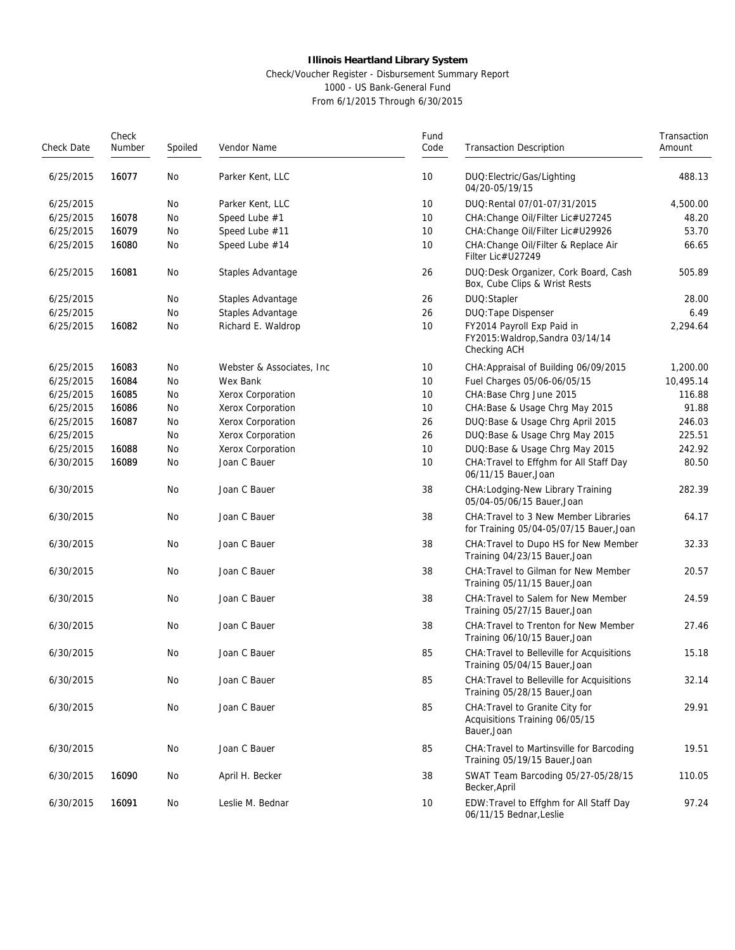## Check/Voucher Register - Disbursement Summary Report 1000 - US Bank-General Fund

| Check Date | Check<br>Number | Spoiled | Vendor Name                | Fund<br>Code | <b>Transaction Description</b>                                                   | Transaction<br>Amount |
|------------|-----------------|---------|----------------------------|--------------|----------------------------------------------------------------------------------|-----------------------|
| 6/25/2015  | 16077           | No      | Parker Kent, LLC           | 10           | DUQ: Electric/Gas/Lighting<br>04/20-05/19/15                                     | 488.13                |
| 6/25/2015  |                 | No      | Parker Kent, LLC           | 10           | DUQ: Rental 07/01-07/31/2015                                                     | 4,500.00              |
| 6/25/2015  | 16078           | No      | Speed Lube #1              | 10           | CHA: Change Oil/Filter Lic#U27245                                                | 48.20                 |
| 6/25/2015  | 16079           | No      | Speed Lube #11             | 10           | CHA: Change Oil/Filter Lic#U29926                                                | 53.70                 |
| 6/25/2015  | 16080           | No      | Speed Lube #14             | 10           | CHA: Change Oil/Filter & Replace Air<br>Filter Lic#U27249                        | 66.65                 |
| 6/25/2015  | 16081           | No      | Staples Advantage          | 26           | DUQ:Desk Organizer, Cork Board, Cash<br>Box, Cube Clips & Wrist Rests            | 505.89                |
| 6/25/2015  |                 | No      | Staples Advantage          | 26           | DUQ:Stapler                                                                      | 28.00                 |
| 6/25/2015  |                 | No      | Staples Advantage          | 26           | DUQ: Tape Dispenser                                                              | 6.49                  |
| 6/25/2015  | 16082           | No      | Richard E. Waldrop         | 10           | FY2014 Payroll Exp Paid in<br>FY2015: Waldrop, Sandra 03/14/14<br>Checking ACH   | 2,294.64              |
| 6/25/2015  | 16083           | No      | Webster & Associates, Inc. | 10           | CHA: Appraisal of Building 06/09/2015                                            | 1,200.00              |
| 6/25/2015  | 16084           | No      | Wex Bank                   | 10           | Fuel Charges 05/06-06/05/15                                                      | 10,495.14             |
| 6/25/2015  | 16085           | No      | Xerox Corporation          | 10           | CHA:Base Chrg June 2015                                                          | 116.88                |
| 6/25/2015  | 16086           | No      | Xerox Corporation          | 10           | CHA: Base & Usage Chrg May 2015                                                  | 91.88                 |
| 6/25/2015  | 16087           | No      | Xerox Corporation          | 26           | DUQ: Base & Usage Chrg April 2015                                                | 246.03                |
| 6/25/2015  |                 | No      | Xerox Corporation          | 26           | DUQ: Base & Usage Chrg May 2015                                                  | 225.51                |
| 6/25/2015  | 16088           | No      | Xerox Corporation          | 10           | DUQ: Base & Usage Chrg May 2015                                                  | 242.92                |
| 6/30/2015  | 16089           | No      | Joan C Bauer               | 10           | CHA: Travel to Effghm for All Staff Day<br>06/11/15 Bauer, Joan                  | 80.50                 |
| 6/30/2015  |                 | No      | Joan C Bauer               | 38           | CHA: Lodging-New Library Training<br>05/04-05/06/15 Bauer, Joan                  | 282.39                |
| 6/30/2015  |                 | No      | Joan C Bauer               | 38           | CHA: Travel to 3 New Member Libraries<br>for Training 05/04-05/07/15 Bauer, Joan | 64.17                 |
| 6/30/2015  |                 | No      | Joan C Bauer               | 38           | CHA: Travel to Dupo HS for New Member<br>Training 04/23/15 Bauer, Joan           | 32.33                 |
| 6/30/2015  |                 | No      | Joan C Bauer               | 38           | CHA: Travel to Gilman for New Member<br>Training 05/11/15 Bauer, Joan            | 20.57                 |
| 6/30/2015  |                 | No      | Joan C Bauer               | 38           | CHA: Travel to Salem for New Member<br>Training 05/27/15 Bauer, Joan             | 24.59                 |
| 6/30/2015  |                 | No      | Joan C Bauer               | 38           | CHA: Travel to Trenton for New Member<br>Training 06/10/15 Bauer, Joan           | 27.46                 |
| 6/30/2015  |                 | No      | Joan C Bauer               | 85           | CHA: Travel to Belleville for Acquisitions<br>Training 05/04/15 Bauer, Joan      | 15.18                 |
| 6/30/2015  |                 | No      | Joan C Bauer               | 85           | CHA: Travel to Belleville for Acquisitions<br>Training 05/28/15 Bauer, Joan      | 32.14                 |
| 6/30/2015  |                 | No      | Joan C Bauer               | 85           | CHA: Travel to Granite City for<br>Acquisitions Training 06/05/15<br>Bauer, Joan | 29.91                 |
| 6/30/2015  |                 | No      | Joan C Bauer               | 85           | CHA: Travel to Martinsville for Barcoding<br>Training 05/19/15 Bauer, Joan       | 19.51                 |
| 6/30/2015  | 16090           | No      | April H. Becker            | 38           | SWAT Team Barcoding 05/27-05/28/15<br>Becker, April                              | 110.05                |
| 6/30/2015  | 16091           | No      | Leslie M. Bednar           | 10           | EDW: Travel to Effghm for All Staff Day<br>06/11/15 Bednar, Leslie               | 97.24                 |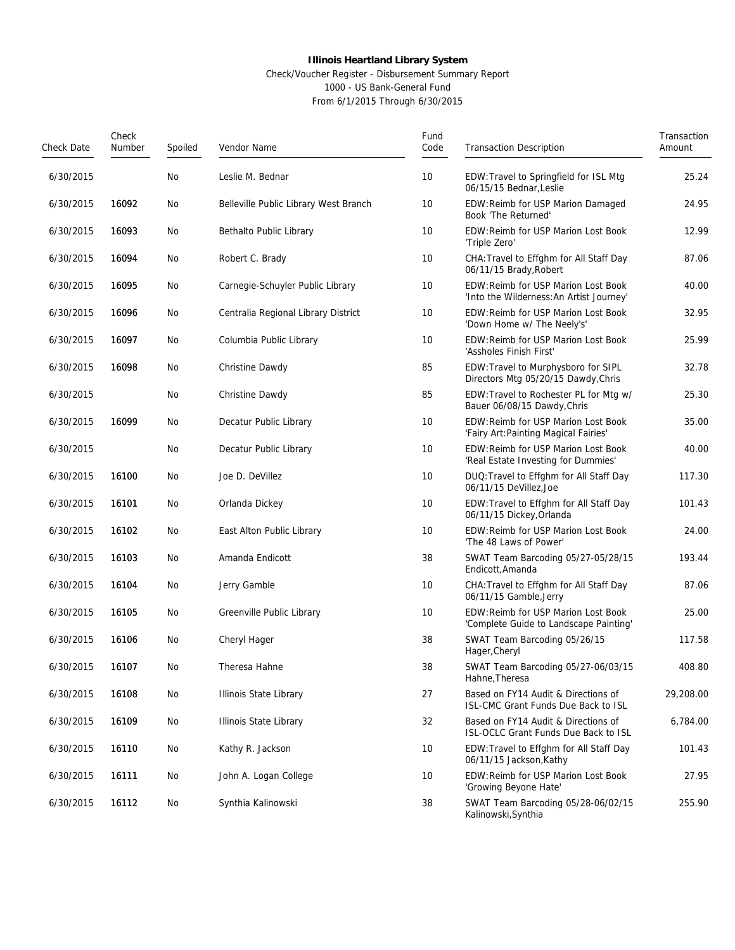#### Check/Voucher Register - Disbursement Summary Report 1000 - US Bank-General Fund

| Check Date | Check<br>Number | Spoiled | Vendor Name                           | Fund<br>Code | <b>Transaction Description</b>                                                  | Transaction<br>Amount |
|------------|-----------------|---------|---------------------------------------|--------------|---------------------------------------------------------------------------------|-----------------------|
| 6/30/2015  |                 | No      | Leslie M. Bednar                      | 10           | EDW: Travel to Springfield for ISL Mtg<br>06/15/15 Bednar, Leslie               | 25.24                 |
| 6/30/2015  | 16092           | No      | Belleville Public Library West Branch | 10           | EDW: Reimb for USP Marion Damaged<br>Book 'The Returned'                        | 24.95                 |
| 6/30/2015  | 16093           | No      | Bethalto Public Library               | 10           | EDW: Reimb for USP Marion Lost Book<br>'Triple Zero'                            | 12.99                 |
| 6/30/2015  | 16094           | No      | Robert C. Brady                       | 10           | CHA: Travel to Effghm for All Staff Day<br>06/11/15 Brady, Robert               | 87.06                 |
| 6/30/2015  | 16095           | No      | Carnegie-Schuyler Public Library      | 10           | EDW: Reimb for USP Marion Lost Book<br>'Into the Wilderness: An Artist Journey' | 40.00                 |
| 6/30/2015  | 16096           | No      | Centralia Regional Library District   | 10           | EDW: Reimb for USP Marion Lost Book<br>'Down Home w/ The Neely's'               | 32.95                 |
| 6/30/2015  | 16097           | No      | Columbia Public Library               | 10           | EDW: Reimb for USP Marion Lost Book<br>'Assholes Finish First'                  | 25.99                 |
| 6/30/2015  | 16098           | No      | Christine Dawdy                       | 85           | EDW: Travel to Murphysboro for SIPL<br>Directors Mtg 05/20/15 Dawdy, Chris      | 32.78                 |
| 6/30/2015  |                 | No      | Christine Dawdy                       | 85           | EDW: Travel to Rochester PL for Mtg w/<br>Bauer 06/08/15 Dawdy, Chris           | 25.30                 |
| 6/30/2015  | 16099           | No      | Decatur Public Library                | 10           | EDW: Reimb for USP Marion Lost Book<br>'Fairy Art: Painting Magical Fairies'    | 35.00                 |
| 6/30/2015  |                 | No      | Decatur Public Library                | 10           | EDW: Reimb for USP Marion Lost Book<br>'Real Estate Investing for Dummies'      | 40.00                 |
| 6/30/2015  | 16100           | No      | Joe D. DeVillez                       | 10           | DUQ: Travel to Effghm for All Staff Day<br>06/11/15 DeVillez, Joe               | 117.30                |
| 6/30/2015  | 16101           | No      | Orlanda Dickey                        | 10           | EDW: Travel to Effghm for All Staff Day<br>06/11/15 Dickey, Orlanda             | 101.43                |
| 6/30/2015  | 16102           | No      | East Alton Public Library             | 10           | EDW: Reimb for USP Marion Lost Book<br>'The 48 Laws of Power'                   | 24.00                 |
| 6/30/2015  | 16103           | No      | Amanda Endicott                       | 38           | SWAT Team Barcoding 05/27-05/28/15<br>Endicott, Amanda                          | 193.44                |
| 6/30/2015  | 16104           | No      | Jerry Gamble                          | 10           | CHA: Travel to Effghm for All Staff Day<br>06/11/15 Gamble, Jerry               | 87.06                 |
| 6/30/2015  | 16105           | No      | Greenville Public Library             | 10           | EDW: Reimb for USP Marion Lost Book<br>'Complete Guide to Landscape Painting'   | 25.00                 |
| 6/30/2015  | 16106           | No      | Cheryl Hager                          | 38           | SWAT Team Barcoding 05/26/15<br>Hager, Cheryl                                   | 117.58                |
| 6/30/2015  | 16107           | No.     | Theresa Hahne                         | 38           | SWAT Team Barcoding 05/27-06/03/15<br>Hahne, Theresa                            | 408.80                |
| 6/30/2015  | 16108           | No      | Illinois State Library                | 27           | Based on FY14 Audit & Directions of<br>ISL-CMC Grant Funds Due Back to ISL      | 29,208.00             |
| 6/30/2015  | 16109           | No      | Illinois State Library                | 32           | Based on FY14 Audit & Directions of<br>ISL-OCLC Grant Funds Due Back to ISL     | 6,784.00              |
| 6/30/2015  | 16110           | No      | Kathy R. Jackson                      | 10           | EDW: Travel to Effghm for All Staff Day<br>06/11/15 Jackson, Kathy              | 101.43                |
| 6/30/2015  | 16111           | No      | John A. Logan College                 | 10           | EDW: Reimb for USP Marion Lost Book<br>'Growing Beyone Hate'                    | 27.95                 |
| 6/30/2015  | 16112           | No      | Synthia Kalinowski                    | 38           | SWAT Team Barcoding 05/28-06/02/15<br>Kalinowski, Synthia                       | 255.90                |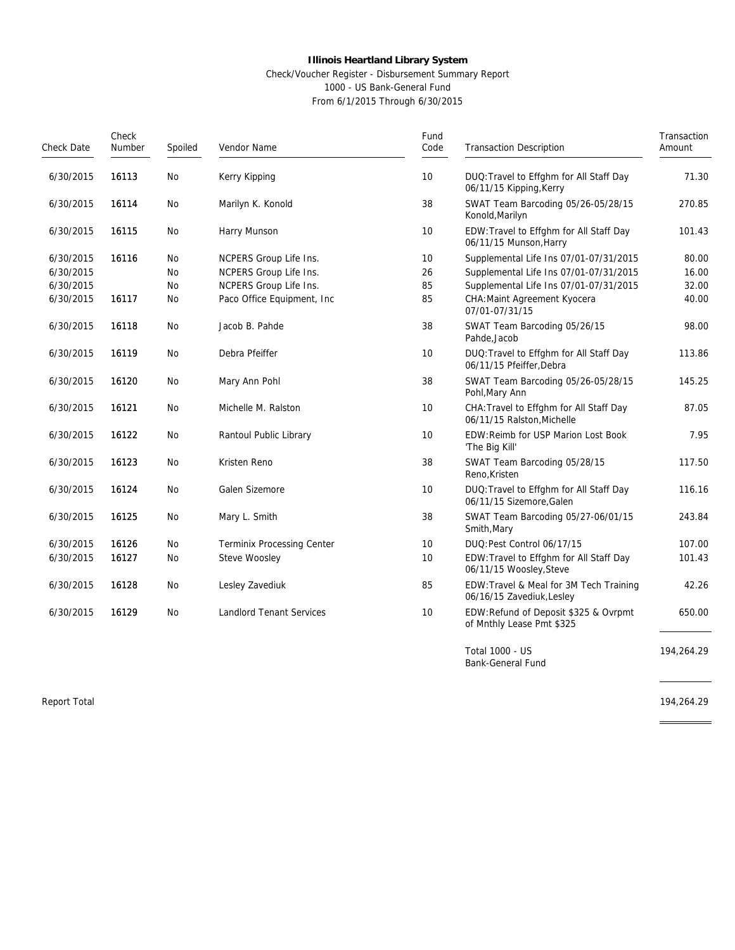#### Check/Voucher Register - Disbursement Summary Report 1000 - US Bank-General Fund

From 6/1/2015 Through 6/30/2015

| Check Date | Check<br>Number<br>Spoiled<br>Vendor Name |           | Fund<br>Code                      | <b>Transaction Description</b>                                           | Transaction<br>Amount                                                 |        |
|------------|-------------------------------------------|-----------|-----------------------------------|--------------------------------------------------------------------------|-----------------------------------------------------------------------|--------|
| 6/30/2015  | 16113                                     | <b>No</b> | Kerry Kipping                     | 10                                                                       | DUQ: Travel to Effghm for All Staff Day<br>06/11/15 Kipping, Kerry    | 71.30  |
| 6/30/2015  | 16114                                     | <b>No</b> | Marilyn K. Konold                 | 38                                                                       | SWAT Team Barcoding 05/26-05/28/15<br>Konold, Marilyn                 | 270.85 |
| 6/30/2015  | 16115                                     | <b>No</b> | Harry Munson                      | 10                                                                       | EDW: Travel to Effghm for All Staff Day<br>06/11/15 Munson, Harry     | 101.43 |
| 6/30/2015  | 16116                                     | <b>No</b> | NCPERS Group Life Ins.            | 10                                                                       | Supplemental Life Ins 07/01-07/31/2015                                | 80.00  |
| 6/30/2015  |                                           | No.       | NCPERS Group Life Ins.            | 26                                                                       | Supplemental Life Ins 07/01-07/31/2015                                | 16.00  |
| 6/30/2015  |                                           | No        | NCPERS Group Life Ins.            | 85                                                                       | Supplemental Life Ins 07/01-07/31/2015                                | 32.00  |
| 6/30/2015  | 16117                                     | No        | Paco Office Equipment, Inc.       | 85                                                                       | CHA: Maint Agreement Kyocera<br>07/01-07/31/15                        | 40.00  |
| 6/30/2015  | 16118                                     | <b>No</b> | Jacob B. Pahde                    | 38<br>SWAT Team Barcoding 05/26/15<br>Pahde, Jacob                       |                                                                       | 98.00  |
| 6/30/2015  | 16119                                     | No        | Debra Pfeiffer                    | DUQ: Travel to Effghm for All Staff Day<br>10<br>06/11/15 Pfeiffer.Debra |                                                                       | 113.86 |
| 6/30/2015  | 16120                                     | No        | Mary Ann Pohl                     | 38                                                                       | SWAT Team Barcoding 05/26-05/28/15<br>Pohl, Mary Ann                  | 145.25 |
| 6/30/2015  | 16121                                     | <b>No</b> | Michelle M. Ralston               | 10                                                                       | CHA: Travel to Effghm for All Staff Day<br>06/11/15 Ralston, Michelle | 87.05  |
| 6/30/2015  | 16122                                     | <b>No</b> | Rantoul Public Library            | 10                                                                       | EDW: Reimb for USP Marion Lost Book<br>'The Big Kill'                 | 7.95   |
| 6/30/2015  | 16123                                     | <b>No</b> | Kristen Reno                      | 38                                                                       | SWAT Team Barcoding 05/28/15<br>Reno, Kristen                         | 117.50 |
| 6/30/2015  | 16124                                     | <b>No</b> | Galen Sizemore                    | 10                                                                       | DUQ: Travel to Effghm for All Staff Day<br>06/11/15 Sizemore, Galen   | 116.16 |
| 6/30/2015  | 16125                                     | <b>No</b> | Mary L. Smith                     | 38                                                                       | SWAT Team Barcoding 05/27-06/01/15<br>Smith, Mary                     | 243.84 |
| 6/30/2015  | 16126                                     | <b>No</b> | <b>Terminix Processing Center</b> | 10                                                                       | DUQ:Pest Control 06/17/15                                             | 107.00 |
| 6/30/2015  | 16127                                     | <b>No</b> | Steve Woosley                     | 10                                                                       | EDW: Travel to Effghm for All Staff Day<br>06/11/15 Woosley, Steve    | 101.43 |
| 6/30/2015  | 16128                                     | <b>No</b> | Lesley Zavediuk                   | 85                                                                       | EDW: Travel & Meal for 3M Tech Training<br>06/16/15 Zavediuk, Lesley  | 42.26  |
| 6/30/2015  | 16129                                     | <b>No</b> | <b>Landlord Tenant Services</b>   | 10                                                                       | EDW:Refund of Deposit \$325 & Ovrpmt<br>of Mnthly Lease Pmt \$325     | 650.00 |

Total 1000 - US Bank-General Fund

Report Total 194,264.29

 $\frac{1}{1}$ 

194,264.29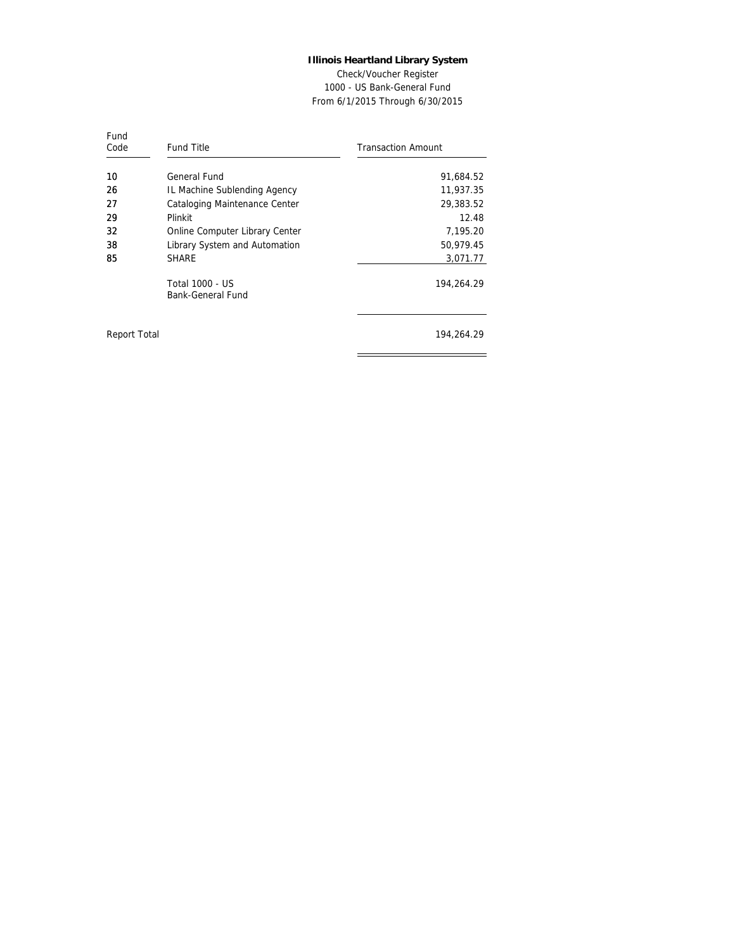Check/Voucher Register 1000 - US Bank-General Fund From 6/1/2015 Through 6/30/2015

| Fund<br>Code | Fund Title                           | <b>Transaction Amount</b> |
|--------------|--------------------------------------|---------------------------|
| 10           | General Fund                         | 91,684.52                 |
| 26           | IL Machine Sublending Agency         | 11,937.35                 |
| 27           | Cataloging Maintenance Center        | 29,383.52                 |
| 29           | Plinkit                              | 12.48                     |
| 32           | Online Computer Library Center       | 7,195.20                  |
| 38           | Library System and Automation        | 50,979.45                 |
| 85           | <b>SHARE</b>                         | 3,071.77                  |
|              | Total 1000 - US<br>Bank-General Fund | 194,264.29                |
| Report Total |                                      | 194,264.29                |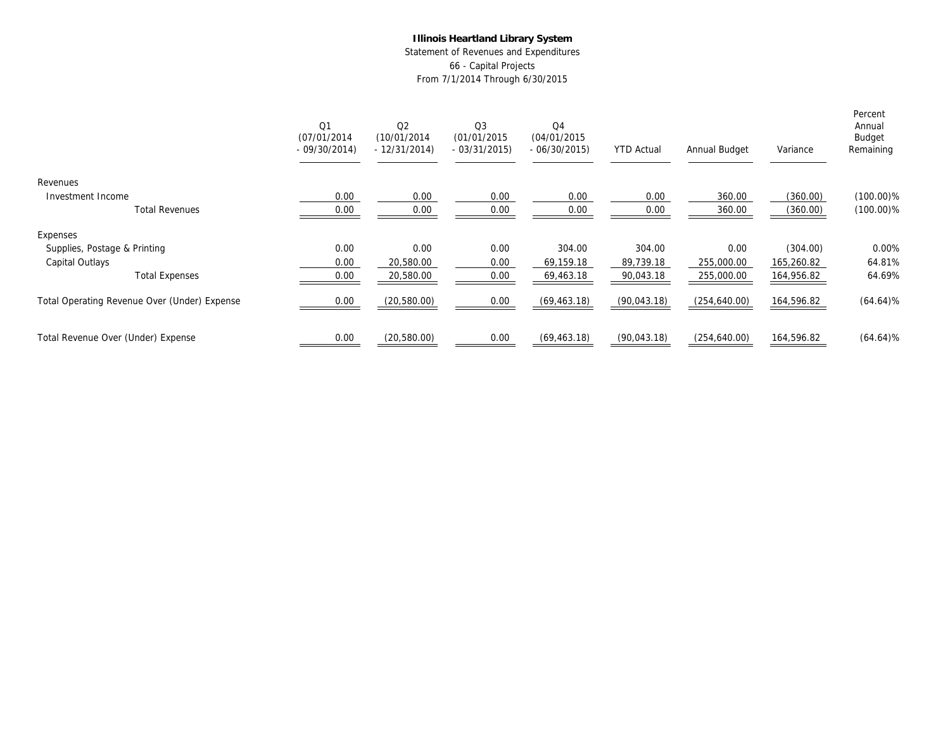Statement of Revenues and Expenditures 66 - Capital Projects From 7/1/2014 Through 6/30/2015

|                                              | Q1<br>(07/01/2014)<br>$-09/30/2014$ | Q2<br>(10/01/2014)<br>$-12/31/2014$ | Q <sub>3</sub><br>(01/01/2015)<br>$-03/31/2015$ | Q4<br>(04/01/2015)<br>$-06/30/2015$ | <b>YTD Actual</b> | Annual Budget | Variance   | Percent<br>Annual<br>Budget<br>Remaining |
|----------------------------------------------|-------------------------------------|-------------------------------------|-------------------------------------------------|-------------------------------------|-------------------|---------------|------------|------------------------------------------|
| Revenues                                     |                                     |                                     |                                                 |                                     |                   |               |            |                                          |
| Investment Income                            | 0.00                                | 0.00                                | 0.00                                            | 0.00                                | 0.00              | 360.00        | (360.00)   | $(100.00)\%$                             |
| <b>Total Revenues</b>                        | 0.00                                | 0.00                                | 0.00                                            | 0.00                                | 0.00              | 360.00        | (360.00)   | $(100.00)\%$                             |
| Expenses                                     |                                     |                                     |                                                 |                                     |                   |               |            |                                          |
| Supplies, Postage & Printing                 | 0.00                                | 0.00                                | 0.00                                            | 304.00                              | 304.00            | 0.00          | (304.00)   | 0.00%                                    |
| Capital Outlays                              | 0.00                                | 20,580.00                           | 0.00                                            | 69,159.18                           | 89,739.18         | 255,000.00    | 165,260.82 | 64.81%                                   |
| <b>Total Expenses</b>                        | 0.00                                | 20,580.00                           | 0.00                                            | 69,463.18                           | 90,043.18         | 255,000.00    | 164,956.82 | 64.69%                                   |
| Total Operating Revenue Over (Under) Expense | 0.00                                | (20, 580.00)                        | 0.00                                            | (69, 463.18)                        | (90,043.18)       | (254, 640.00) | 164,596.82 | $(64.64)\%$                              |
| Total Revenue Over (Under) Expense           | 0.00                                | (20,580.00)                         | 0.00                                            | (69, 463.18)                        | (90,043.18)       | (254, 640.00) | 164,596.82 | $(64.64)\%$                              |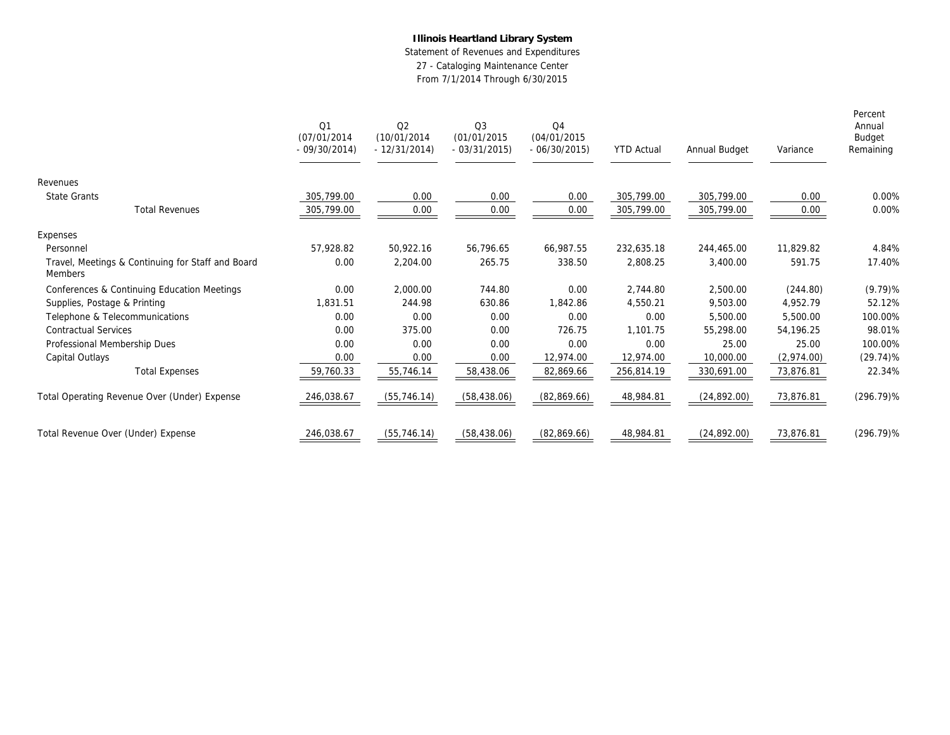Statement of Revenues and Expenditures

27 - Cataloging Maintenance Center

|                                                              | Q1<br>(07/01/2014)<br>$-09/30/2014$ | Q2<br>(10/01/2014)<br>$-12/31/2014$ | Q3<br>(01/01/2015)<br>$-03/31/2015$ | Q <sub>4</sub><br>(04/01/2015)<br>$-06/30/2015$ | <b>YTD Actual</b> | Annual Budget | Variance   | Percent<br>Annual<br>Budget<br>Remaining |
|--------------------------------------------------------------|-------------------------------------|-------------------------------------|-------------------------------------|-------------------------------------------------|-------------------|---------------|------------|------------------------------------------|
| Revenues                                                     |                                     |                                     |                                     |                                                 |                   |               |            |                                          |
| <b>State Grants</b>                                          | 305,799.00                          | 0.00                                | 0.00                                | 0.00                                            | 305,799.00        | 305,799.00    | 0.00       | 0.00%                                    |
| <b>Total Revenues</b>                                        | 305,799.00                          | 0.00                                | 0.00                                | 0.00                                            | 305,799.00        | 305,799.00    | 0.00       | 0.00%                                    |
| Expenses                                                     |                                     |                                     |                                     |                                                 |                   |               |            |                                          |
| Personnel                                                    | 57.928.82                           | 50.922.16                           | 56,796.65                           | 66.987.55                                       | 232,635.18        | 244,465.00    | 11,829.82  | 4.84%                                    |
| Travel, Meetings & Continuing for Staff and Board<br>Members | 0.00                                | 2,204.00                            | 265.75                              | 338.50                                          | 2,808.25          | 3,400.00      | 591.75     | 17.40%                                   |
| Conferences & Continuing Education Meetings                  | 0.00                                | 2,000.00                            | 744.80                              | 0.00                                            | 2,744.80          | 2,500.00      | (244.80)   | $(9.79)$ %                               |
| Supplies, Postage & Printing                                 | 1.831.51                            | 244.98                              | 630.86                              | 1.842.86                                        | 4,550.21          | 9,503.00      | 4,952.79   | 52.12%                                   |
| Telephone & Telecommunications                               | 0.00                                | 0.00                                | 0.00                                | 0.00                                            | 0.00              | 5,500.00      | 5,500.00   | 100.00%                                  |
| <b>Contractual Services</b>                                  | 0.00                                | 375.00                              | 0.00                                | 726.75                                          | 1.101.75          | 55,298.00     | 54.196.25  | 98.01%                                   |
| Professional Membership Dues                                 | 0.00                                | 0.00                                | 0.00                                | 0.00                                            | 0.00              | 25.00         | 25.00      | 100.00%                                  |
| Capital Outlays                                              | 0.00                                | 0.00                                | 0.00                                | 12,974.00                                       | 12,974.00         | 10,000.00     | (2,974.00) | $(29.74)\%$                              |
| <b>Total Expenses</b>                                        | 59,760.33                           | 55,746.14                           | 58,438.06                           | 82,869.66                                       | 256,814.19        | 330,691.00    | 73,876.81  | 22.34%                                   |
| Total Operating Revenue Over (Under) Expense                 | 246,038.67                          | (55, 746.14)                        | (58, 438.06)                        | (82,869.66)                                     | 48,984.81         | (24,892.00)   | 73,876.81  | $(296.79)\%$                             |
| Total Revenue Over (Under) Expense                           | 246,038.67                          | (55, 746.14)                        | (58, 438.06)                        | (82,869.66)                                     | 48,984.81         | (24, 892.00)  | 73,876.81  | $(296.79)\%$                             |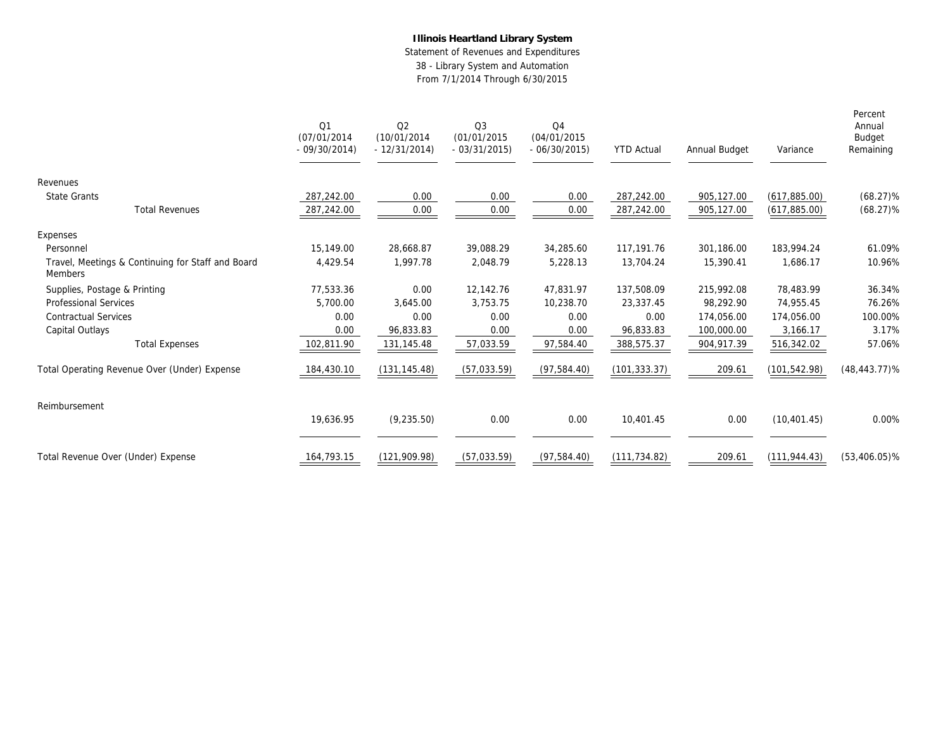Statement of Revenues and Expenditures 38 - Library System and Automation From 7/1/2014 Through 6/30/2015

|                                                              | Q1<br>(07/01/2014)<br>$-09/30/2014$ | Q <sub>2</sub><br>(10/01/2014)<br>$-12/31/2014$ | Q3<br>(01/01/2015<br>$-03/31/2015$ | Q <sub>4</sub><br>(04/01/2015<br>$-06/30/2015$ | <b>YTD Actual</b> | Annual Budget | Variance      | Percent<br>Annual<br><b>Budget</b><br>Remaining |
|--------------------------------------------------------------|-------------------------------------|-------------------------------------------------|------------------------------------|------------------------------------------------|-------------------|---------------|---------------|-------------------------------------------------|
| Revenues                                                     |                                     |                                                 |                                    |                                                |                   |               |               |                                                 |
| <b>State Grants</b>                                          | 287,242.00                          | 0.00                                            | 0.00                               | 0.00                                           | 287,242.00        | 905,127.00    | (617,885.00)  | $(68.27)\%$                                     |
| <b>Total Revenues</b>                                        | 287,242.00                          | 0.00                                            | 0.00                               | 0.00                                           | 287,242.00        | 905,127.00    | (617,885.00)  | $(68.27)\%$                                     |
| Expenses                                                     |                                     |                                                 |                                    |                                                |                   |               |               |                                                 |
| Personnel                                                    | 15,149.00                           | 28,668.87                                       | 39,088.29                          | 34,285.60                                      | 117,191.76        | 301,186.00    | 183,994.24    | 61.09%                                          |
| Travel, Meetings & Continuing for Staff and Board<br>Members | 4,429.54                            | 1,997.78                                        | 2,048.79                           | 5,228.13                                       | 13,704.24         | 15,390.41     | 1,686.17      | 10.96%                                          |
| Supplies, Postage & Printing                                 | 77,533.36                           | 0.00                                            | 12,142.76                          | 47,831.97                                      | 137,508.09        | 215,992.08    | 78,483.99     | 36.34%                                          |
| Professional Services                                        | 5,700.00                            | 3,645.00                                        | 3,753.75                           | 10,238.70                                      | 23,337.45         | 98,292.90     | 74,955.45     | 76.26%                                          |
| <b>Contractual Services</b>                                  | 0.00                                | 0.00                                            | 0.00                               | 0.00                                           | 0.00              | 174,056.00    | 174,056.00    | 100.00%                                         |
| Capital Outlays                                              | 0.00                                | 96,833.83                                       | 0.00                               | 0.00                                           | 96,833.83         | 100,000.00    | 3,166.17      | 3.17%                                           |
| <b>Total Expenses</b>                                        | 102,811.90                          | 131,145.48                                      | 57,033.59                          | 97,584.40                                      | 388,575.37        | 904,917.39    | 516,342.02    | 57.06%                                          |
| Total Operating Revenue Over (Under) Expense                 | 184,430.10                          | (131, 145.48)                                   | (57,033.59)                        | (97, 584.40)                                   | (101, 333.37)     | 209.61        | (101, 542.98) | $(48, 443.77)\%$                                |
| Reimbursement                                                |                                     |                                                 |                                    |                                                |                   |               |               |                                                 |
|                                                              | 19,636.95                           | (9, 235.50)                                     | 0.00                               | 0.00                                           | 10,401.45         | 0.00          | (10, 401.45)  | 0.00%                                           |
| Total Revenue Over (Under) Expense                           | 164,793.15                          | (121, 909.98)                                   | (57, 033.59)                       | (97, 584.40)                                   | (111, 734.82)     | 209.61        | (111, 944.43) | $(53, 406.05)\%$                                |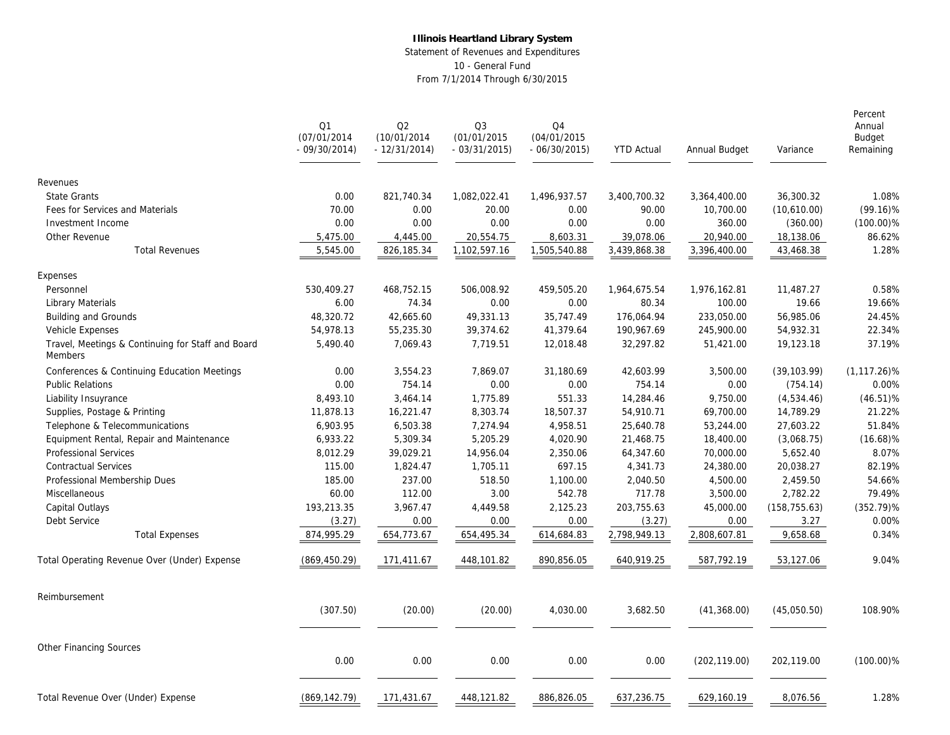Statement of Revenues and Expenditures 10 - General Fund From 7/1/2014 Through 6/30/2015

|                                                              | Q1<br>(07/01/2014)<br>$-09/30/2014$ | Q2<br>(10/01/2014<br>$-12/31/2014)$ | Q <sub>3</sub><br>(01/01/2015<br>$-03/31/2015$ | Q4<br>(04/01/2015)<br>$-06/30/2015$ | <b>YTD Actual</b> | Annual Budget | Variance      | Percent<br>Annual<br>Budget<br>Remaining |
|--------------------------------------------------------------|-------------------------------------|-------------------------------------|------------------------------------------------|-------------------------------------|-------------------|---------------|---------------|------------------------------------------|
| Revenues                                                     |                                     |                                     |                                                |                                     |                   |               |               |                                          |
| <b>State Grants</b>                                          | 0.00                                | 821,740.34                          | 1,082,022.41                                   | 1,496,937.57                        | 3,400,700.32      | 3,364,400.00  | 36,300.32     | 1.08%                                    |
| Fees for Services and Materials                              | 70.00                               | 0.00                                | 20.00                                          | 0.00                                | 90.00             | 10,700.00     | (10,610.00)   | $(99.16)\%$                              |
| Investment Income                                            | 0.00                                | 0.00                                | 0.00                                           | 0.00                                | 0.00              | 360.00        | (360.00)      | $(100.00)\%$                             |
| Other Revenue                                                | 5,475.00                            | 4,445.00                            | 20,554.75                                      | 8,603.31                            | 39,078.06         | 20,940.00     | 18,138.06     | 86.62%                                   |
| <b>Total Revenues</b>                                        | 5,545.00                            | 826,185.34                          | 1,102,597.16                                   | 1,505,540.88                        | 3,439,868.38      | 3,396,400.00  | 43,468.38     | 1.28%                                    |
| Expenses                                                     |                                     |                                     |                                                |                                     |                   |               |               |                                          |
| Personnel                                                    | 530,409.27                          | 468,752.15                          | 506,008.92                                     | 459,505.20                          | 1,964,675.54      | 1,976,162.81  | 11,487.27     | 0.58%                                    |
| Library Materials                                            | 6.00                                | 74.34                               | 0.00                                           | 0.00                                | 80.34             | 100.00        | 19.66         | 19.66%                                   |
| Building and Grounds                                         | 48,320.72                           | 42,665.60                           | 49,331.13                                      | 35,747.49                           | 176,064.94        | 233,050.00    | 56,985.06     | 24.45%                                   |
| Vehicle Expenses                                             | 54,978.13                           | 55,235.30                           | 39,374.62                                      | 41,379.64                           | 190,967.69        | 245,900.00    | 54,932.31     | 22.34%                                   |
| Travel, Meetings & Continuing for Staff and Board<br>Members | 5,490.40                            | 7,069.43                            | 7,719.51                                       | 12,018.48                           | 32,297.82         | 51,421.00     | 19,123.18     | 37.19%                                   |
| Conferences & Continuing Education Meetings                  | 0.00                                | 3,554.23                            | 7,869.07                                       | 31,180.69                           | 42,603.99         | 3,500.00      | (39, 103.99)  | $(1, 117.26)\%$                          |
| <b>Public Relations</b>                                      | 0.00                                | 754.14                              | 0.00                                           | 0.00                                | 754.14            | 0.00          | (754.14)      | 0.00%                                    |
| Liability Insuyrance                                         | 8,493.10                            | 3,464.14                            | 1,775.89                                       | 551.33                              | 14,284.46         | 9,750.00      | (4,534.46)    | $(46.51)\%$                              |
| Supplies, Postage & Printing                                 | 11,878.13                           | 16,221.47                           | 8,303.74                                       | 18,507.37                           | 54,910.71         | 69,700.00     | 14,789.29     | 21.22%                                   |
| Telephone & Telecommunications                               | 6,903.95                            | 6,503.38                            | 7,274.94                                       | 4,958.51                            | 25,640.78         | 53,244.00     | 27,603.22     | 51.84%                                   |
| Equipment Rental, Repair and Maintenance                     | 6,933.22                            | 5,309.34                            | 5,205.29                                       | 4,020.90                            | 21,468.75         | 18,400.00     | (3,068.75)    | $(16.68)\%$                              |
| <b>Professional Services</b>                                 | 8,012.29                            | 39,029.21                           | 14,956.04                                      | 2,350.06                            | 64,347.60         | 70,000.00     | 5,652.40      | 8.07%                                    |
| <b>Contractual Services</b>                                  | 115.00                              | 1,824.47                            | 1,705.11                                       | 697.15                              | 4,341.73          | 24,380.00     | 20,038.27     | 82.19%                                   |
| Professional Membership Dues                                 | 185.00                              | 237.00                              | 518.50                                         | 1,100.00                            | 2,040.50          | 4,500.00      | 2,459.50      | 54.66%                                   |
| Miscellaneous                                                | 60.00                               | 112.00                              | 3.00                                           | 542.78                              | 717.78            | 3,500.00      | 2,782.22      | 79.49%                                   |
| Capital Outlays                                              | 193,213.35                          | 3,967.47                            | 4,449.58                                       | 2,125.23                            | 203,755.63        | 45,000.00     | (158, 755.63) | $(352.79)\%$                             |
| Debt Service                                                 | (3.27)                              | 0.00                                | 0.00                                           | 0.00                                | (3.27)            | 0.00          | 3.27          | 0.00%                                    |
| <b>Total Expenses</b>                                        | 874,995.29                          | 654,773.67                          | 654,495.34                                     | 614,684.83                          | 2,798,949.13      | 2,808,607.81  | 9,658.68      | 0.34%                                    |
| Total Operating Revenue Over (Under) Expense                 | (869, 450.29)                       | 171,411.67                          | 448,101.82                                     | 890,856.05                          | 640,919.25        | 587,792.19    | 53,127.06     | 9.04%                                    |
| Reimbursement                                                |                                     |                                     |                                                |                                     |                   |               |               |                                          |
|                                                              | (307.50)                            | (20.00)                             | (20.00)                                        | 4,030.00                            | 3,682.50          | (41, 368.00)  | (45,050.50)   | 108.90%                                  |
| Other Financing Sources                                      |                                     |                                     |                                                |                                     |                   |               |               |                                          |
|                                                              | 0.00                                | 0.00                                | 0.00                                           | 0.00                                | 0.00              | (202, 119.00) | 202,119.00    | $(100.00)\%$                             |
| Total Revenue Over (Under) Expense                           | (869, 142.79)                       | 171,431.67                          | 448,121.82                                     | 886,826.05                          | 637,236.75        | 629,160.19    | 8,076.56      | 1.28%                                    |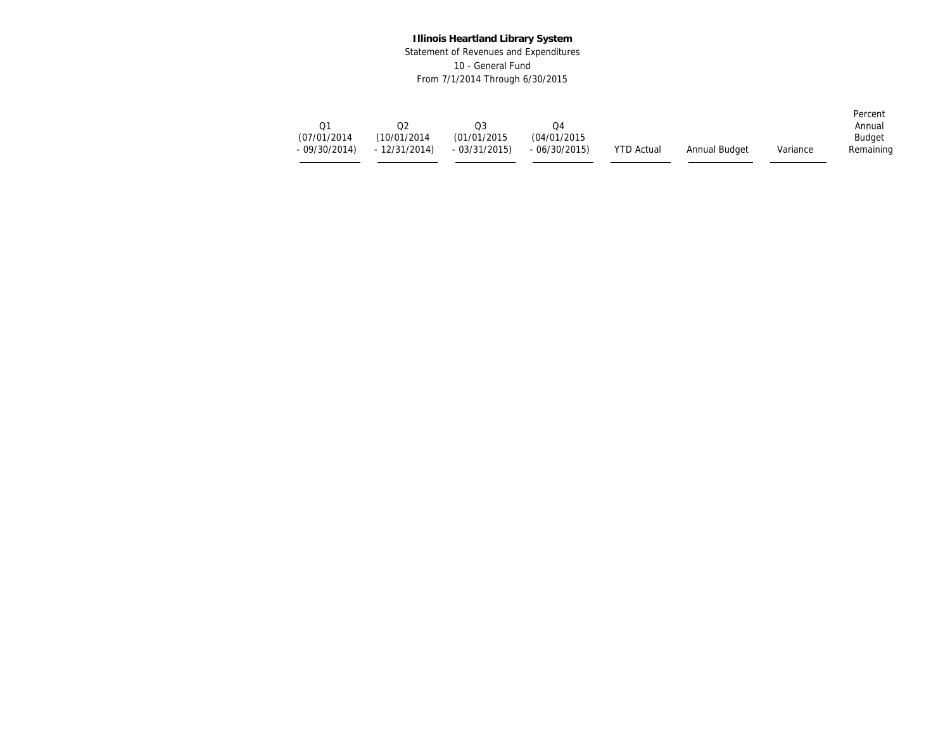Statement of Revenues and Expenditures 10 - General Fund From 7/1/2014 Through 6/30/2015

| Э1<br>(07/01/2014) | (10/01/2014)                | O3<br>(01/01/2015) | .)4<br>(04/01/2015) |                   |               |          | Percent<br>Annual<br><b>Budget</b> |
|--------------------|-----------------------------|--------------------|---------------------|-------------------|---------------|----------|------------------------------------|
|                    | $-09/30/2014$ $-12/31/2014$ | - 03/31/2015)      | $-06/30/2015$       | <b>YTD Actual</b> | Annual Budget | Variance | Remaining                          |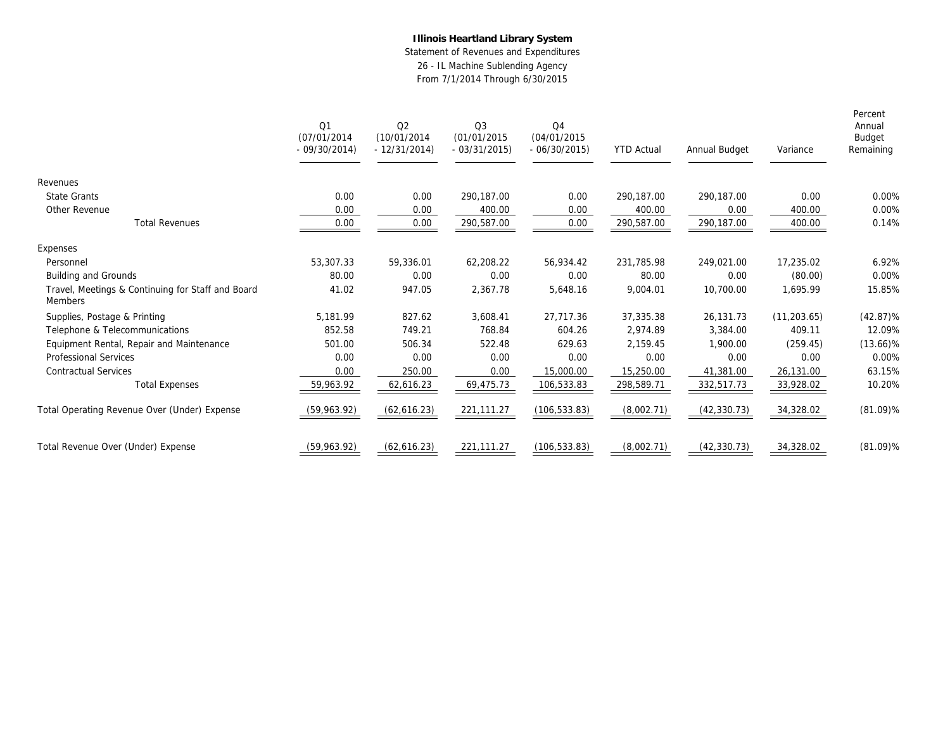Statement of Revenues and Expenditures 26 - IL Machine Sublending Agency From 7/1/2014 Through 6/30/2015

|                                                              | Q1<br>(07/01/2014)<br>$-09/30/2014$ | Q <sub>2</sub><br>(10/01/2014)<br>$-12/31/2014$ | Q <sub>3</sub><br>(01/01/2015<br>$-03/31/2015$ | Q <sub>4</sub><br>(04/01/2015)<br>$-06/30/2015$ | <b>YTD Actual</b> | Annual Budget | Variance     | Percent<br>Annual<br>Budget<br>Remaining |
|--------------------------------------------------------------|-------------------------------------|-------------------------------------------------|------------------------------------------------|-------------------------------------------------|-------------------|---------------|--------------|------------------------------------------|
| Revenues                                                     |                                     |                                                 |                                                |                                                 |                   |               |              |                                          |
| <b>State Grants</b>                                          | 0.00                                | 0.00                                            | 290.187.00                                     | 0.00                                            | 290.187.00        | 290.187.00    | 0.00         | 0.00%                                    |
| Other Revenue                                                | 0.00                                | 0.00                                            | 400.00                                         | 0.00                                            | 400.00            | 0.00          | 400.00       | 0.00%                                    |
| <b>Total Revenues</b>                                        | 0.00                                | 0.00                                            | 290,587.00                                     | 0.00                                            | 290,587.00        | 290,187.00    | 400.00       | 0.14%                                    |
| Expenses                                                     |                                     |                                                 |                                                |                                                 |                   |               |              |                                          |
| Personnel                                                    | 53,307.33                           | 59.336.01                                       | 62,208.22                                      | 56.934.42                                       | 231.785.98        | 249,021.00    | 17,235.02    | 6.92%                                    |
| Building and Grounds                                         | 80.00                               | 0.00                                            | 0.00                                           | 0.00                                            | 80.00             | 0.00          | (80.00)      | 0.00%                                    |
| Travel, Meetings & Continuing for Staff and Board<br>Members | 41.02                               | 947.05                                          | 2,367.78                                       | 5,648.16                                        | 9,004.01          | 10,700.00     | 1.695.99     | 15.85%                                   |
| Supplies, Postage & Printing                                 | 5,181.99                            | 827.62                                          | 3,608.41                                       | 27,717.36                                       | 37,335.38         | 26,131.73     | (11, 203.65) | $(42.87)\%$                              |
| Telephone & Telecommunications                               | 852.58                              | 749.21                                          | 768.84                                         | 604.26                                          | 2,974.89          | 3,384.00      | 409.11       | 12.09%                                   |
| Equipment Rental, Repair and Maintenance                     | 501.00                              | 506.34                                          | 522.48                                         | 629.63                                          | 2,159.45          | 1,900.00      | (259.45)     | $(13.66)\%$                              |
| <b>Professional Services</b>                                 | 0.00                                | 0.00                                            | 0.00                                           | 0.00                                            | 0.00              | 0.00          | 0.00         | 0.00%                                    |
| <b>Contractual Services</b>                                  | 0.00                                | 250.00                                          | 0.00                                           | 15,000.00                                       | 15,250.00         | 41,381.00     | 26,131.00    | 63.15%                                   |
| <b>Total Expenses</b>                                        | 59,963.92                           | 62,616.23                                       | 69,475.73                                      | 106,533.83                                      | 298,589.71        | 332,517.73    | 33,928.02    | 10.20%                                   |
| Total Operating Revenue Over (Under) Expense                 | (59,963.92)                         | (62,616.23)                                     | 221,111.27                                     | (106, 533.83)                                   | (8,002.71)        | (42, 330.73)  | 34,328.02    | $(81.09)\%$                              |
| Total Revenue Over (Under) Expense                           | (59,963.92)                         | (62,616.23)                                     | 221,111.27                                     | (106, 533.83)                                   | (8,002.71)        | (42, 330.73)  | 34,328.02    | $(81.09)\%$                              |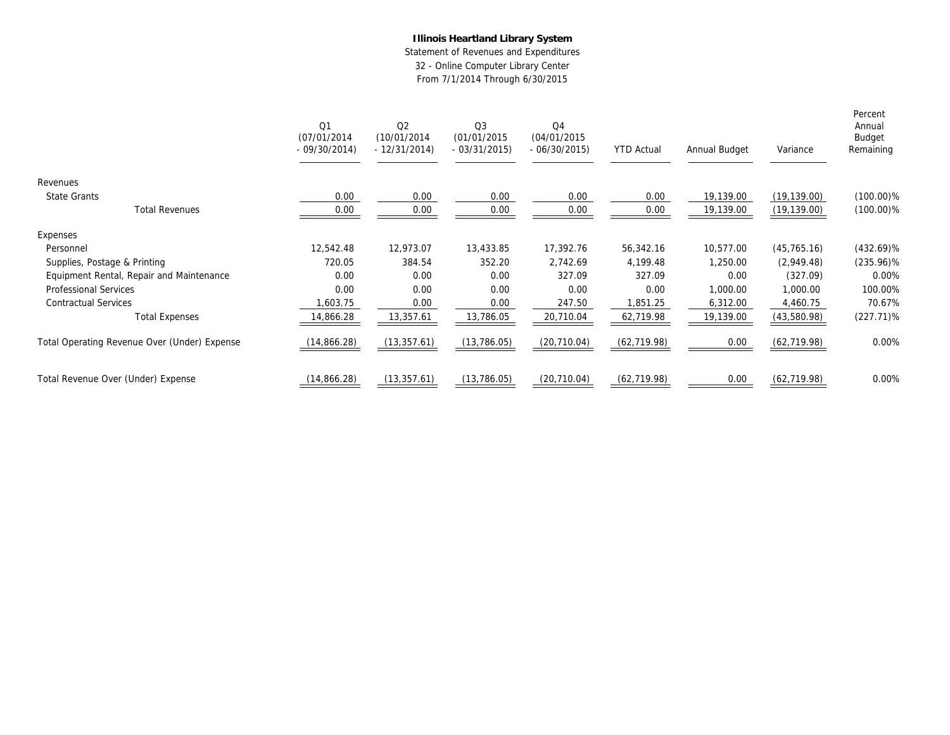Statement of Revenues and Expenditures 32 - Online Computer Library Center

|                                              | Q1<br>(07/01/2014)<br>$-09/30/2014$ | Q2<br>(10/01/2014)<br>$-12/31/2014$ | Q <sub>3</sub><br>(01/01/2015)<br>$-03/31/2015$ | Q <sub>4</sub><br>(04/01/2015)<br>$-06/30/2015$ | <b>YTD Actual</b> | Annual Budget | Variance     | Percent<br>Annual<br>Budget<br>Remaining |
|----------------------------------------------|-------------------------------------|-------------------------------------|-------------------------------------------------|-------------------------------------------------|-------------------|---------------|--------------|------------------------------------------|
| Revenues                                     |                                     |                                     |                                                 |                                                 |                   |               |              |                                          |
| State Grants                                 | 0.00                                | 0.00                                | 0.00                                            | 0.00                                            | 0.00              | 19,139.00     | (19, 139.00) | $(100.00)\%$                             |
| <b>Total Revenues</b>                        | 0.00                                | 0.00                                | 0.00                                            | 0.00                                            | 0.00              | 19,139.00     | (19, 139.00) | $(100.00)\%$                             |
| Expenses                                     |                                     |                                     |                                                 |                                                 |                   |               |              |                                          |
| Personnel                                    | 12,542.48                           | 12,973.07                           | 13,433.85                                       | 17,392.76                                       | 56,342.16         | 10,577.00     | (45, 765.16) | $(432.69)\%$                             |
| Supplies, Postage & Printing                 | 720.05                              | 384.54                              | 352.20                                          | 2,742.69                                        | 4,199.48          | 1,250.00      | (2,949.48)   | $(235.96)\%$                             |
| Equipment Rental, Repair and Maintenance     | 0.00                                | 0.00                                | 0.00                                            | 327.09                                          | 327.09            | 0.00          | (327.09)     | 0.00%                                    |
| Professional Services                        | 0.00                                | 0.00                                | 0.00                                            | 0.00                                            | 0.00              | 1,000.00      | 1,000.00     | 100.00%                                  |
| <b>Contractual Services</b>                  | 1,603.75                            | 0.00                                | 0.00                                            | 247.50                                          | ,851.25           | 6,312.00      | 4,460.75     | 70.67%                                   |
| <b>Total Expenses</b>                        | 14,866.28                           | 13,357.61                           | 13,786.05                                       | 20,710.04                                       | 62,719.98         | 19,139.00     | (43,580.98)  | $(227.71)\%$                             |
| Total Operating Revenue Over (Under) Expense | (14, 866.28)                        | (13, 357.61)                        | (13, 786.05)                                    | (20, 710.04)                                    | (62, 719.98)      | 0.00          | (62, 719.98) | 0.00%                                    |
| Total Revenue Over (Under) Expense           | (14, 866.28)                        | (13, 357.61)                        | (13, 786.05)                                    | (20, 710.04)                                    | (62, 719.98)      | 0.00          | (62, 719.98) | 0.00%                                    |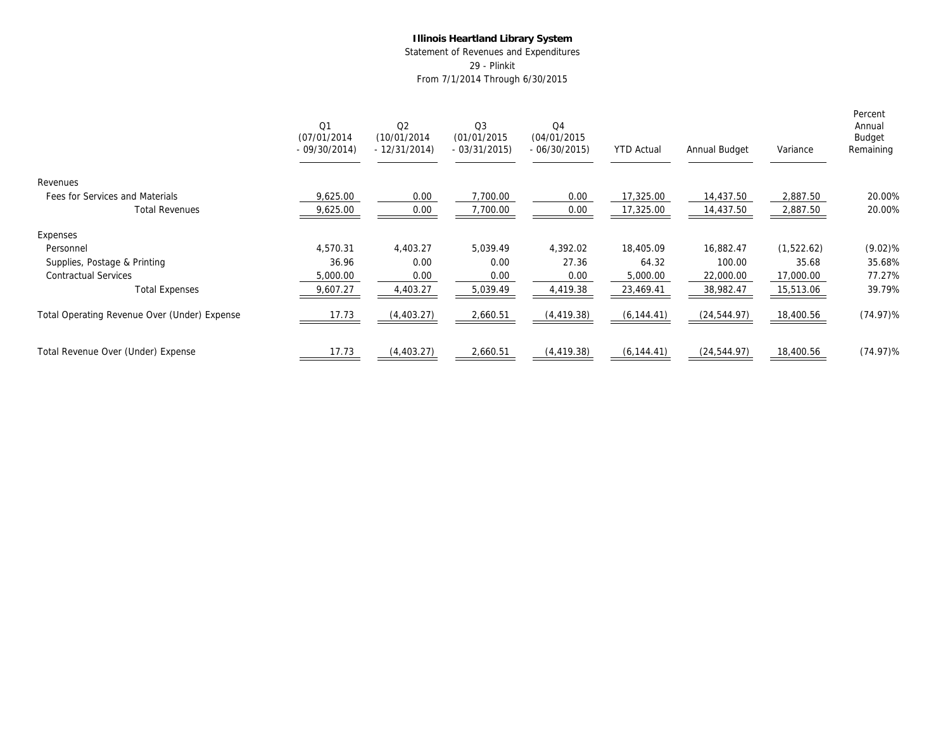Statement of Revenues and Expenditures 29 - Plinkit

|                                              | Q <sub>1</sub><br>(07/01/2014)<br>$-09/30/2014$ | Q <sub>2</sub><br>(10/01/2014)<br>$-12/31/2014$ | Q <sub>3</sub><br>(01/01/2015)<br>$-03/31/2015$ | Q4<br>(04/01/2015)<br>$-06/30/2015$ | <b>YTD Actual</b> | Annual Budget | Variance   | Percent<br>Annual<br>Budget<br>Remaining |
|----------------------------------------------|-------------------------------------------------|-------------------------------------------------|-------------------------------------------------|-------------------------------------|-------------------|---------------|------------|------------------------------------------|
| Revenues                                     |                                                 |                                                 |                                                 |                                     |                   |               |            |                                          |
| Fees for Services and Materials              | 9,625.00                                        | 0.00                                            | 7,700.00                                        | 0.00                                | 17,325.00         | 14,437.50     | 2,887.50   | 20.00%                                   |
| <b>Total Revenues</b>                        | 9,625.00                                        | 0.00                                            | 7,700.00                                        | 0.00                                | 17,325.00         | 14,437.50     | 2,887.50   | 20.00%                                   |
| Expenses                                     |                                                 |                                                 |                                                 |                                     |                   |               |            |                                          |
| Personnel                                    | 4,570.31                                        | 4,403.27                                        | 5,039.49                                        | 4,392.02                            | 18,405.09         | 16,882.47     | (1,522.62) | $(9.02)$ %                               |
| Supplies, Postage & Printing                 | 36.96                                           | 0.00                                            | 0.00                                            | 27.36                               | 64.32             | 100.00        | 35.68      | 35.68%                                   |
| <b>Contractual Services</b>                  | 5,000.00                                        | 0.00                                            | 0.00                                            | 0.00                                | 5,000.00          | 22,000.00     | 17,000.00  | 77.27%                                   |
| <b>Total Expenses</b>                        | 9,607.27                                        | 4,403.27                                        | 5,039.49                                        | 4,419.38                            | 23,469.41         | 38,982.47     | 15,513.06  | 39.79%                                   |
| Total Operating Revenue Over (Under) Expense | 17.73                                           | (4,403.27)                                      | 2,660.51                                        | (4, 419.38)                         | (6, 144.41)       | (24, 544.97)  | 18,400.56  | $(74.97)\%$                              |
| Total Revenue Over (Under) Expense           | 17.73                                           | (4,403.27)                                      | 2,660.51                                        | (4, 419.38)                         | (6, 144.41)       | (24, 544.97)  | 18,400.56  | $(74.97)\%$                              |